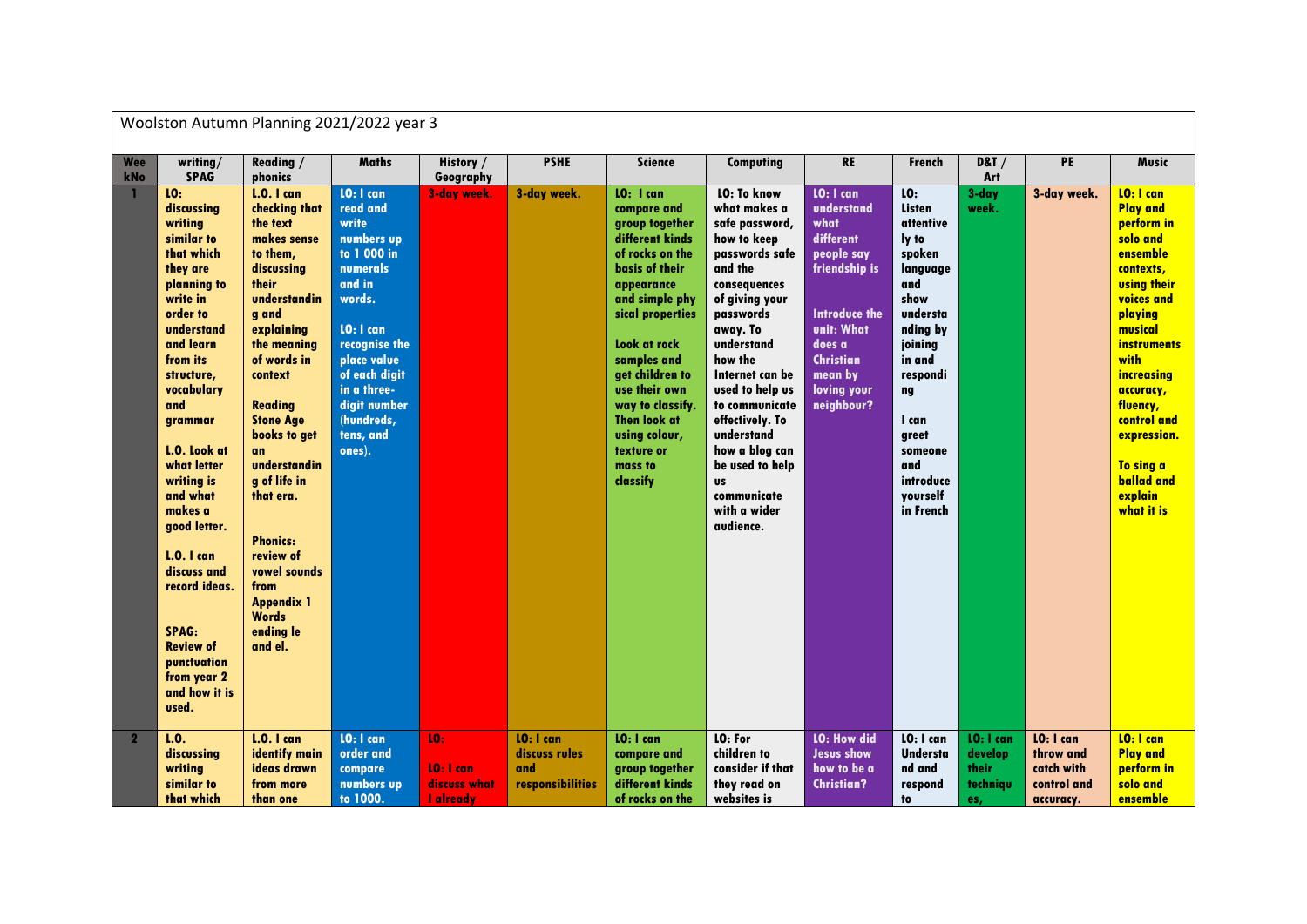|              |                                                                                                                                                                                                                                                                                                                                                                                                                                             | Woolston Autumn Planning 2021/2022 year 3                                                                                                                                                                                                                                                                                                                                                                             |                                                                                                                                                                                                                                      |                                                     |                                                       |                                                                                                                                                                                                                                                                                                                                   |                                                                                                                                                                                                                                                                                                                                                                             |                                                                                                                                                                                                |                                                                                                                                                                                                                          |                                                  |                                                                  |                                                                                                                                                                                                                                                                                                         |
|--------------|---------------------------------------------------------------------------------------------------------------------------------------------------------------------------------------------------------------------------------------------------------------------------------------------------------------------------------------------------------------------------------------------------------------------------------------------|-----------------------------------------------------------------------------------------------------------------------------------------------------------------------------------------------------------------------------------------------------------------------------------------------------------------------------------------------------------------------------------------------------------------------|--------------------------------------------------------------------------------------------------------------------------------------------------------------------------------------------------------------------------------------|-----------------------------------------------------|-------------------------------------------------------|-----------------------------------------------------------------------------------------------------------------------------------------------------------------------------------------------------------------------------------------------------------------------------------------------------------------------------------|-----------------------------------------------------------------------------------------------------------------------------------------------------------------------------------------------------------------------------------------------------------------------------------------------------------------------------------------------------------------------------|------------------------------------------------------------------------------------------------------------------------------------------------------------------------------------------------|--------------------------------------------------------------------------------------------------------------------------------------------------------------------------------------------------------------------------|--------------------------------------------------|------------------------------------------------------------------|---------------------------------------------------------------------------------------------------------------------------------------------------------------------------------------------------------------------------------------------------------------------------------------------------------|
| Wee<br>kNo   | writing/<br><b>SPAG</b>                                                                                                                                                                                                                                                                                                                                                                                                                     | Reading /<br>phonics                                                                                                                                                                                                                                                                                                                                                                                                  | <b>Maths</b>                                                                                                                                                                                                                         | History /<br>Geography                              | <b>PSHE</b>                                           | <b>Science</b>                                                                                                                                                                                                                                                                                                                    | Computing                                                                                                                                                                                                                                                                                                                                                                   | <b>RE</b>                                                                                                                                                                                      | <b>French</b>                                                                                                                                                                                                            | <b>D&amp;T</b> /<br>Art                          | PE                                                               | <b>Music</b>                                                                                                                                                                                                                                                                                            |
|              | 10 <sub>1</sub><br>discussing<br>writing<br>similar to<br>that which<br>they are<br>planning to<br>write in<br>order to<br>understand<br>and learn<br>from its<br>structure,<br>vocabulary<br>and<br>grammar<br>L.O. Look at<br>what letter<br>writing is<br>and what<br>makes a<br>good letter.<br>$L.0.1$ can<br>discuss and<br>record ideas.<br><b>SPAG:</b><br><b>Review of</b><br>punctuation<br>from year 2<br>and how it is<br>used. | <b>L.O.</b> I can<br>checking that<br>the text<br>makes sense<br>to them,<br>discussing<br>their<br>understandin<br>g and<br>explaining<br>the meaning<br>of words in<br>context<br><b>Reading</b><br><b>Stone Age</b><br>books to get<br><b>an</b><br>understandin<br>g of life in<br>that era.<br><b>Phonics:</b><br>review of<br>vowel sounds<br>from<br><b>Appendix 1</b><br><b>Words</b><br>ending le<br>and el. | LO: I can<br>read and<br>write<br>numbers up<br>to 1 000 in<br><b>numerals</b><br>and in<br>words.<br>LO: I can<br>recognise the<br>place value<br>of each digit<br>in a three-<br>digit number<br>(hundreds,<br>tens, and<br>ones). | 3-day week.                                         | 3-day week.                                           | LO: I can<br>compare and<br>group together<br>different kinds<br>of rocks on the<br><b>basis of their</b><br>appearance<br>and simple phy<br>sical properties<br>Look at rock<br>samples and<br>get children to<br>use their own<br>way to classify.<br><b>Then look at</b><br>using colour,<br>texture or<br>mass to<br>classify | <b>LO: To know</b><br>what makes a<br>safe password,<br>how to keep<br>passwords safe<br>and the<br>consequences<br>of giving your<br>passwords<br>away. To<br>understand<br>how the<br>Internet can be<br>used to help us<br>to communicate<br>effectively. To<br>understand<br>how a blog can<br>be used to help<br><b>US</b><br>communicate<br>with a wider<br>audience. | <b>LO: 1 can</b><br>understand<br>what<br>different<br>people say<br>friendship is<br><b>Introduce the</b><br>unit: What<br>does a<br><b>Christian</b><br>mean by<br>loving your<br>neighbour? | LO:<br><b>Listen</b><br>attentive<br>ly to<br>spoken<br>language<br>and<br>show<br>understa<br>nding by<br>joining<br>in and<br>respondi<br>ng<br>I can<br>greet<br>someone<br>and<br>introduce<br>vourself<br>in French | $3$ -day<br>week.                                | 3-day week.                                                      | LO: I can<br><b>Play and</b><br>perform in<br>solo and<br>ensemble<br>contexts,<br><b>using their</b><br>voices and<br>playing<br>musical<br><i>instruments</i><br>with<br>increasing<br>accuracy,<br>fluency,<br>control and<br>expression.<br>To sing a<br><b>ballad</b> and<br>explain<br>what it is |
| $\mathbf{2}$ | L.0.<br>discussing<br>writing<br>similar to<br>that which                                                                                                                                                                                                                                                                                                                                                                                   | <b>L.O. I can</b><br>identify main<br>ideas drawn<br>from more<br>than one                                                                                                                                                                                                                                                                                                                                            | <b>LO: 1 can</b><br>order and<br>compare<br>numbers up<br>to 1000.                                                                                                                                                                   | 10:<br>LO: I can<br>discuss what<br><b>Laiready</b> | LO: I can<br>discuss rules<br>and<br>responsibilities | LO: I can<br>compare and<br>group together<br>different kinds<br>of rocks on the                                                                                                                                                                                                                                                  | LO: For<br>children to<br>consider if that<br>they read on<br>websites is                                                                                                                                                                                                                                                                                                   | <b>LO: How did</b><br><b>Jesus show</b><br>how to be a<br><b>Christian?</b>                                                                                                                    | LO: I can<br><b>Understa</b><br>nd and<br>respond<br>to                                                                                                                                                                  | LO: I can<br>develop<br>their<br>techniqu<br>es, | LO: I can<br>throw and<br>catch with<br>control and<br>accuracy. | LO: I can<br><b>Play and</b><br>perform in<br>solo and<br>ensemble                                                                                                                                                                                                                                      |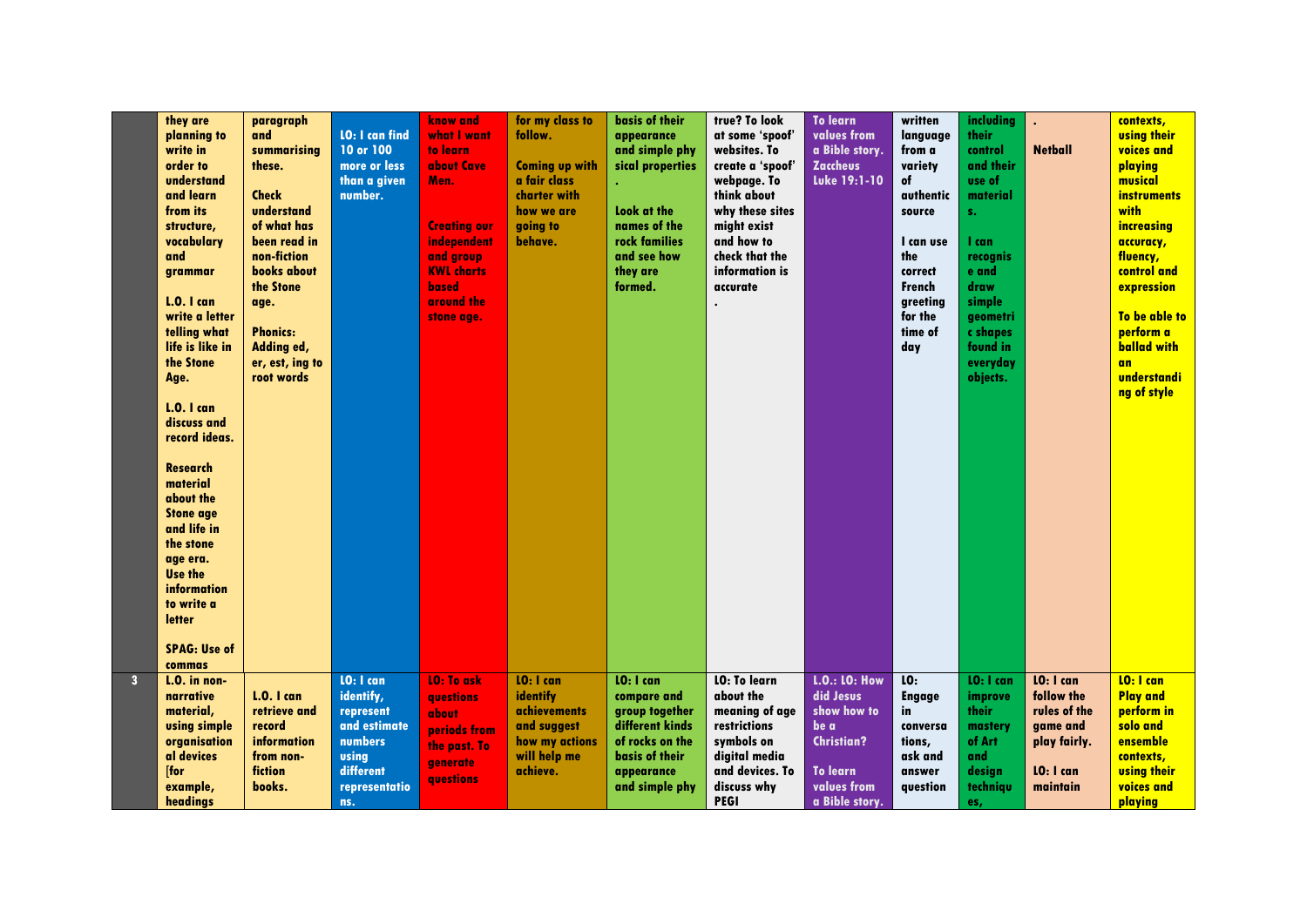|                | they are<br>planning to<br>write in<br>order to<br>understand<br>and learn<br>from its<br>structure,<br>vocabulary<br>and<br>grammar<br><b>L.O.</b> I can<br>write a letter<br>telling what<br>life is like in<br>the Stone<br>Age.<br><b>L.O.</b> I can<br>discuss and<br>record ideas.<br><b>Research</b><br>material<br>about the<br><b>Stone age</b><br>and life in<br>the stone<br>age era.<br><b>Use the</b><br>information<br>to write a<br><b>letter</b><br><b>SPAG: Use of</b><br>commas | paragraph<br>and<br>summarising<br>these.<br><b>Check</b><br>understand<br>of what has<br>been read in<br>non-fiction<br>books about<br>the Stone<br>age.<br><b>Phonics:</b><br>Adding ed,<br>er, est, ing to<br>root words | <b>LO: I can find</b><br>10 or 100<br>more or less<br>than a given<br>number.                                       | know and<br>what I want<br>to learn<br>about Cave<br>Men.<br><b>Creating our</b><br>independent<br>and group<br><b>KWL</b> charts<br>based<br>around the<br>stone age. | for my class to<br>follow.<br><b>Coming up with</b><br>a fair class<br>charter with<br>how we are<br>going to<br>behave. | basis of their<br>appearance<br>and simple phy<br>sical properties<br>Look at the<br>names of the<br>rock families<br>and see how<br>they are<br>formed. | true? To look<br>at some 'spoof'<br>websites. To<br>create a 'spoof'<br>webpage. To<br>think about<br>why these sites<br>might exist<br>and how to<br>check that the<br>information is<br>accurate | <b>To learn</b><br>values from<br>a Bible story.<br><b>Zaccheus</b><br>Luke 19:1-10                                        | written<br>language<br>from a<br>variety<br>of<br>authentic<br>source<br>I can use<br>the<br>correct<br><b>French</b><br>greeting<br>for the<br>time of<br>day | <b>including</b><br><b>their</b><br>control<br>and their<br>use of<br>material<br>s.<br>I can<br>recognis<br>e and<br>draw<br>simple<br>geometri<br>c shapes<br>found in<br>everyday<br>objects. | <b>Netball</b>                                                                               | contexts,<br><b>using their</b><br>voices and<br>playing<br>musical<br><i>instruments</i><br>with<br>increasing<br>accuracy,<br>fluency,<br>control and<br>expression<br>To be able to<br>perform a<br><b>ballad with</b><br><b>an</b><br>understandi<br>ng of style |
|----------------|---------------------------------------------------------------------------------------------------------------------------------------------------------------------------------------------------------------------------------------------------------------------------------------------------------------------------------------------------------------------------------------------------------------------------------------------------------------------------------------------------|-----------------------------------------------------------------------------------------------------------------------------------------------------------------------------------------------------------------------------|---------------------------------------------------------------------------------------------------------------------|------------------------------------------------------------------------------------------------------------------------------------------------------------------------|--------------------------------------------------------------------------------------------------------------------------|----------------------------------------------------------------------------------------------------------------------------------------------------------|----------------------------------------------------------------------------------------------------------------------------------------------------------------------------------------------------|----------------------------------------------------------------------------------------------------------------------------|----------------------------------------------------------------------------------------------------------------------------------------------------------------|--------------------------------------------------------------------------------------------------------------------------------------------------------------------------------------------------|----------------------------------------------------------------------------------------------|----------------------------------------------------------------------------------------------------------------------------------------------------------------------------------------------------------------------------------------------------------------------|
| 3 <sup>1</sup> | $L.0.$ in non-<br>narrative<br>material,<br>using simple<br>organisation<br>al devices<br>[for<br>example,<br>headings                                                                                                                                                                                                                                                                                                                                                                            | $L.0.1$ can<br>retrieve and<br>record<br>information<br>from non-<br>fiction<br>books.                                                                                                                                      | LO: I can<br>identify,<br>represent<br>and estimate<br>numbers<br><b>using</b><br>different<br>representatio<br>ns. | <b>LO: To ask</b><br>questions<br>about<br>periods from<br>the past. To<br>generate<br><b>avestions</b>                                                                | LO: I can<br>identify<br><i>achievements</i><br>and suggest<br>how my actions<br>will help me<br>achieve.                | $10:1$ can<br>compare and<br>group together<br>different kinds<br>of rocks on the<br>basis of their<br>appearance<br>and simple phy                      | <b>LO: To learn</b><br>about the<br>meaning of age<br>restrictions<br>symbols on<br>digital media<br>and devices. To<br>discuss why<br><b>PEGI</b>                                                 | <b>L.O.: LO: How</b><br>did Jesus<br>show how to<br>be a<br><b>Christian?</b><br>To learn<br>values from<br>a Bible story. | LO:<br><b>Engage</b><br>in<br>conversa<br>tions,<br>ask and<br>answer<br>question                                                                              | <b>10: 1 can</b><br>improve<br>their<br>mastery<br>of Art<br>and<br>design<br>techniqu<br>es,                                                                                                    | LO: I can<br>follow the<br>rules of the<br>game and<br>play fairly.<br>LO: I can<br>maintain | LO: I can<br><b>Play and</b><br>perform in<br>solo and<br>ensemble<br>contexts,<br><b>using their</b><br>voices and<br>playing                                                                                                                                       |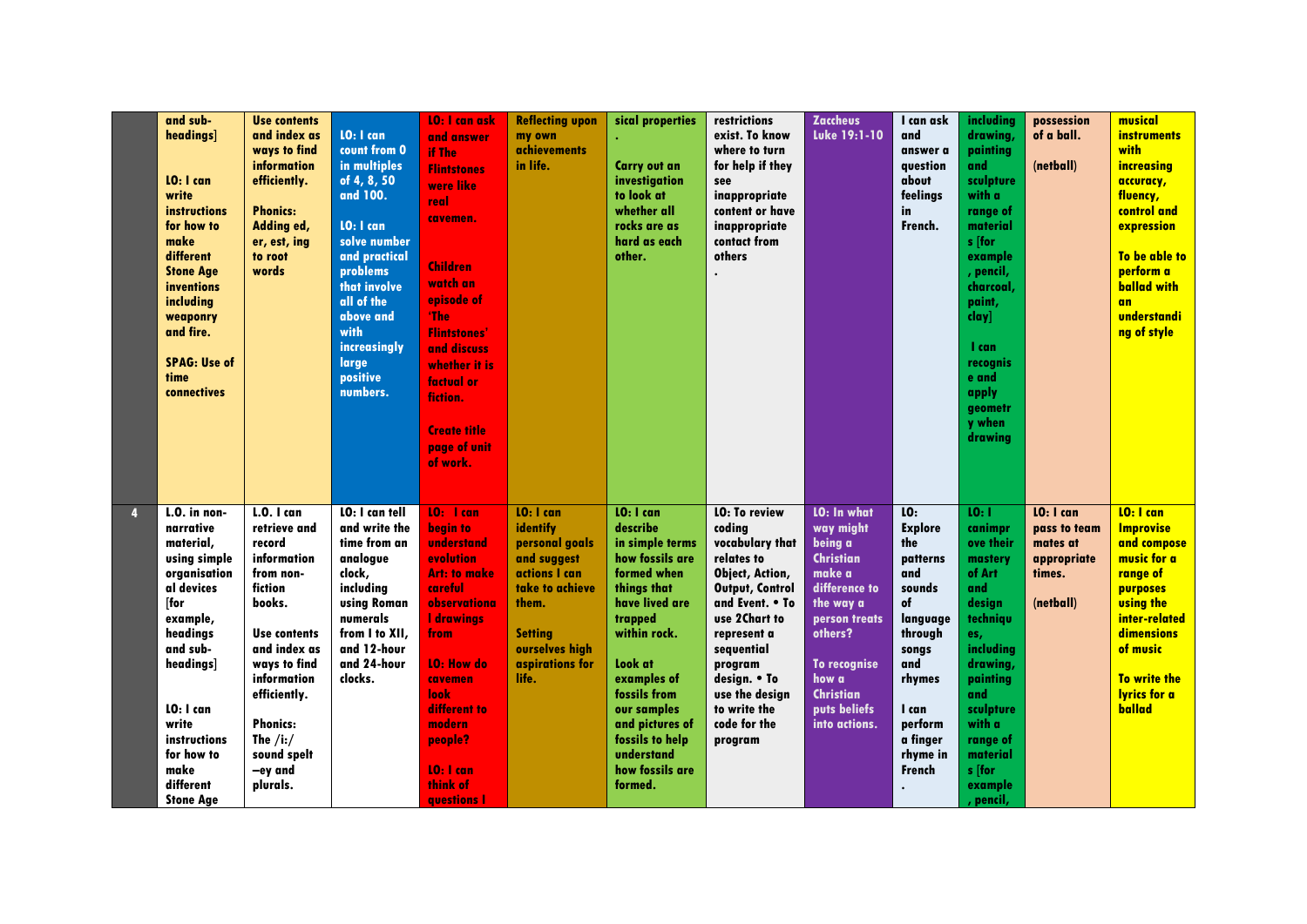|   | and sub-<br>headings]<br>LO: I can<br>write<br>instructions<br>for how to<br>make<br>different<br><b>Stone Age</b><br>inventions<br>including<br>weaponry<br>and fire.<br><b>SPAG: Use of</b><br>time<br>connectives                         | <b>Use contents</b><br>and index as<br>ways to find<br>information<br>efficiently.<br><b>Phonics:</b><br>Adding ed,<br>er, est, ing<br>to root<br>words                                                                                                    | LO: I can<br>count from 0<br>in multiples<br>of 4, 8, 50<br>and 100.<br>LO: I can<br>solve number<br>and practical<br>problems<br>that involve<br>all of the<br>above and<br>with<br>increasingly<br>large<br>positive<br>numbers. | <b>10: I can ask</b><br>and answer<br>if The<br><b>Flintstones</b><br>were like<br>real<br>cavemen.<br><b>Children</b><br>watch an<br>episode of<br>'The<br><b>Flintstones'</b><br>and discuss<br>whether it is<br>factual or<br>fiction.<br><b>Create title</b><br>page of unit<br>of work. | <b>Reflecting upon</b><br>my own<br><i>achievements</i><br>in life.                                                                                                 | sical properties<br><b>Carry out an</b><br>investigation<br>to look at<br>whether all<br>rocks are as<br>hard as each<br>other.                                                                                                                                                   | restrictions<br>exist. To know<br>where to turn<br>for help if they<br>see<br>inappropriate<br>content or have<br>inappropriate<br>contact from<br>others                                                                                                             | <b>Zaccheus</b><br>Luke 19:1-10                                                                                                                                                                                  | I can ask<br>and<br>answer a<br>avestion<br>about<br>feelings<br>in<br>French.                                                                                                | including<br>drawing,<br>painting<br>and<br>sculpture<br>with a<br>range of<br>material<br>s [for<br>example<br>, pencil,<br>charcoal.<br>paint,<br>clay]<br>l can<br>recognis<br>e and<br>apply<br>geometr<br>y when<br>drawing | possession<br>of a ball.<br>(netball)                                       | musical<br><i><b>instruments</b></i><br>with<br>increasing<br>accuracy,<br>fluency,<br>control and<br>expression<br>To be able to<br>perform a<br><b>ballad with</b><br><b>an</b><br>understandi<br>ng of style |
|---|----------------------------------------------------------------------------------------------------------------------------------------------------------------------------------------------------------------------------------------------|------------------------------------------------------------------------------------------------------------------------------------------------------------------------------------------------------------------------------------------------------------|------------------------------------------------------------------------------------------------------------------------------------------------------------------------------------------------------------------------------------|----------------------------------------------------------------------------------------------------------------------------------------------------------------------------------------------------------------------------------------------------------------------------------------------|---------------------------------------------------------------------------------------------------------------------------------------------------------------------|-----------------------------------------------------------------------------------------------------------------------------------------------------------------------------------------------------------------------------------------------------------------------------------|-----------------------------------------------------------------------------------------------------------------------------------------------------------------------------------------------------------------------------------------------------------------------|------------------------------------------------------------------------------------------------------------------------------------------------------------------------------------------------------------------|-------------------------------------------------------------------------------------------------------------------------------------------------------------------------------|----------------------------------------------------------------------------------------------------------------------------------------------------------------------------------------------------------------------------------|-----------------------------------------------------------------------------|-----------------------------------------------------------------------------------------------------------------------------------------------------------------------------------------------------------------|
| 4 | $L.0.$ in non-<br>narrative<br>material,<br>using simple<br>organisation<br>al devices<br>[for<br>example,<br>headings<br>and sub-<br>headings]<br>LO: I can<br>write<br>instructions<br>for how to<br>make<br>different<br><b>Stone Age</b> | <b>L.O.</b> I can<br>retrieve and<br>record<br>information<br>from non-<br>fiction<br>books.<br><b>Use contents</b><br>and index as<br>ways to find<br>information<br>efficiently.<br><b>Phonics:</b><br>The $/i$ :/<br>sound spelt<br>-ey and<br>plurals. | LO: I can tell<br>and write the<br>time from an<br>analogue<br>clock,<br>including<br><b>using Roman</b><br>numerals<br>from I to XII,<br>and 12-hour<br>and 24-hour<br>clocks.                                                    | LO: I can<br>begin to<br>understand<br>evolution<br><b>Art: to make</b><br>careful<br>observationa<br><b>I</b> drawings<br>from<br><b>LO: How do</b><br>cavemen<br><b>look</b><br>different to<br>modern<br>people?<br>$10:1$ can<br>think of<br>questions                                   | LO: I can<br>identify<br>personal goals<br>and suggest<br>actions I can<br>take to achieve<br>them.<br><b>Setting</b><br>ourselves high<br>aspirations for<br>life. | LO: I can<br>describe<br>in simple terms<br>how fossils are<br>formed when<br>things that<br>have lived are<br>trapped<br>within rock.<br>Look at<br>examples of<br>fossils from<br>our samples<br>and pictures of<br>fossils to help<br>understand<br>how fossils are<br>formed. | <b>LO: To review</b><br>coding<br>vocabulary that<br>relates to<br>Object, Action,<br><b>Output, Control</b><br>and Event. • To<br>use 2Chart to<br>represent a<br>sequential<br>program<br>design. • To<br>use the design<br>to write the<br>code for the<br>program | <b>LO: In what</b><br>way might<br>being a<br><b>Christian</b><br>make a<br>difference to<br>the way a<br>person treats<br>others?<br>To recognise<br>how a<br><b>Christian</b><br>puts beliefs<br>into actions. | LO:<br><b>Explore</b><br>the<br>patterns<br>and<br>sounds<br>of<br>language<br>through<br>songs<br>and<br>rhymes<br>I can<br>perform<br>a finger<br>rhyme in<br><b>French</b> | 10:1<br>canimpr<br>ove their<br>mastery<br>of Art<br>and<br>design<br>techniqu<br>es,<br>including<br>drawing,<br>painting<br>and<br>sculpture<br>with a<br>range of<br>material<br>s [for<br>example<br>pencil,                 | LO: I can<br>pass to team<br>mates at<br>appropriate<br>times.<br>(netball) | $10:1$ can<br>Improvise<br>and compose<br>music for a<br>range of<br>purposes<br><b>using the</b><br>inter-related<br>dimensions<br>of music<br>To write the<br><b>Ivrics for a</b><br>ballad                   |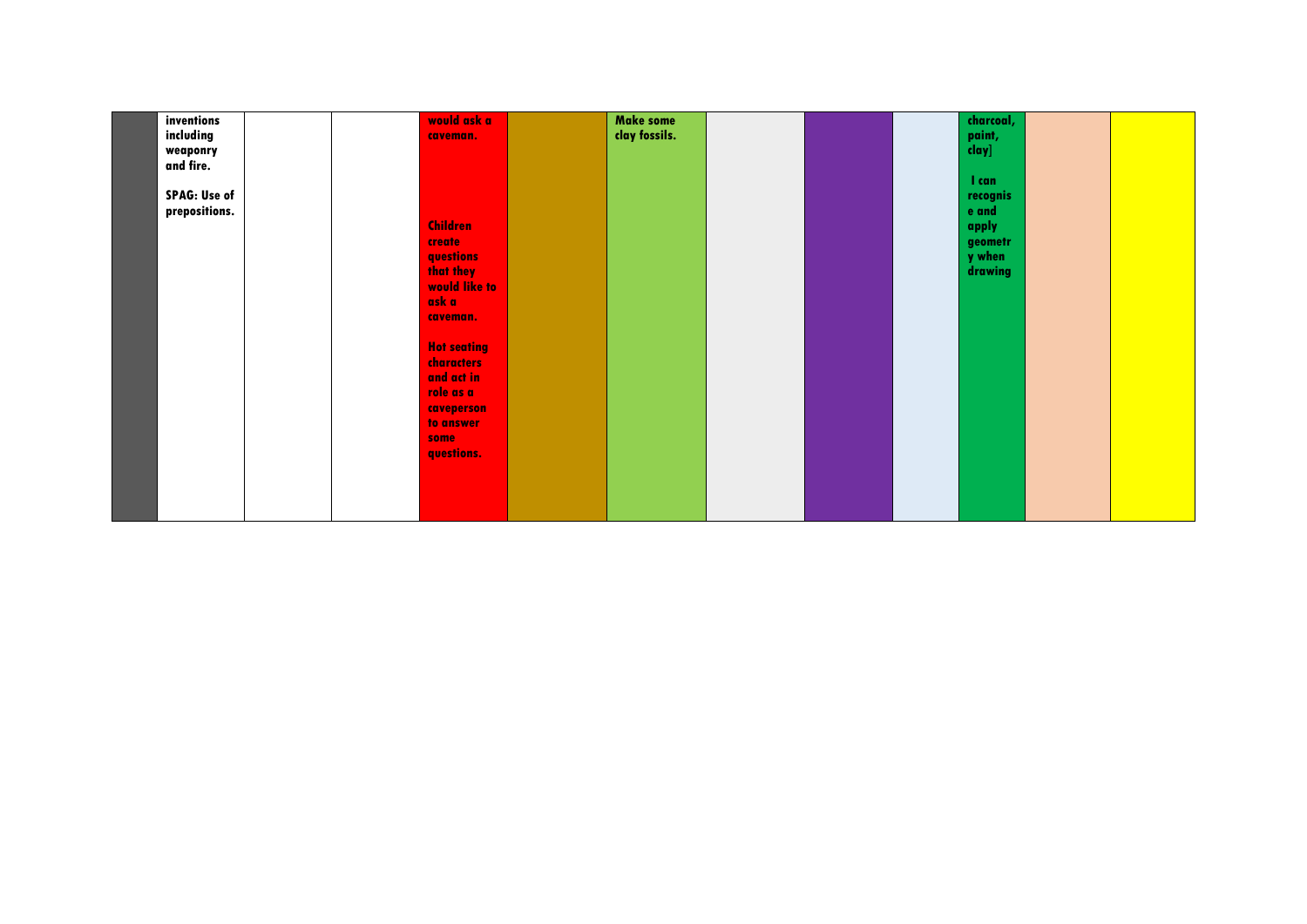| inventions          |  | would ask a        | <b>Make some</b> |  | charcoal, |  |
|---------------------|--|--------------------|------------------|--|-----------|--|
| including           |  | caveman.           | clay fossils.    |  | paint,    |  |
| weaponry            |  |                    |                  |  | clay]     |  |
| and fire.           |  |                    |                  |  |           |  |
|                     |  |                    |                  |  | I can     |  |
| <b>SPAG: Use of</b> |  |                    |                  |  | recognis  |  |
| prepositions.       |  |                    |                  |  | e and     |  |
|                     |  | <b>Children</b>    |                  |  | apply     |  |
|                     |  | create             |                  |  | geometr   |  |
|                     |  | questions          |                  |  | y when    |  |
|                     |  | that they          |                  |  | drawing   |  |
|                     |  | would like to      |                  |  |           |  |
|                     |  | ask a              |                  |  |           |  |
|                     |  | caveman.           |                  |  |           |  |
|                     |  |                    |                  |  |           |  |
|                     |  | <b>Hot seating</b> |                  |  |           |  |
|                     |  | <b>characters</b>  |                  |  |           |  |
|                     |  | and act in         |                  |  |           |  |
|                     |  | role as a          |                  |  |           |  |
|                     |  | caveperson         |                  |  |           |  |
|                     |  | to answer          |                  |  |           |  |
|                     |  | some               |                  |  |           |  |
|                     |  | questions.         |                  |  |           |  |
|                     |  |                    |                  |  |           |  |
|                     |  |                    |                  |  |           |  |
|                     |  |                    |                  |  |           |  |
|                     |  |                    |                  |  |           |  |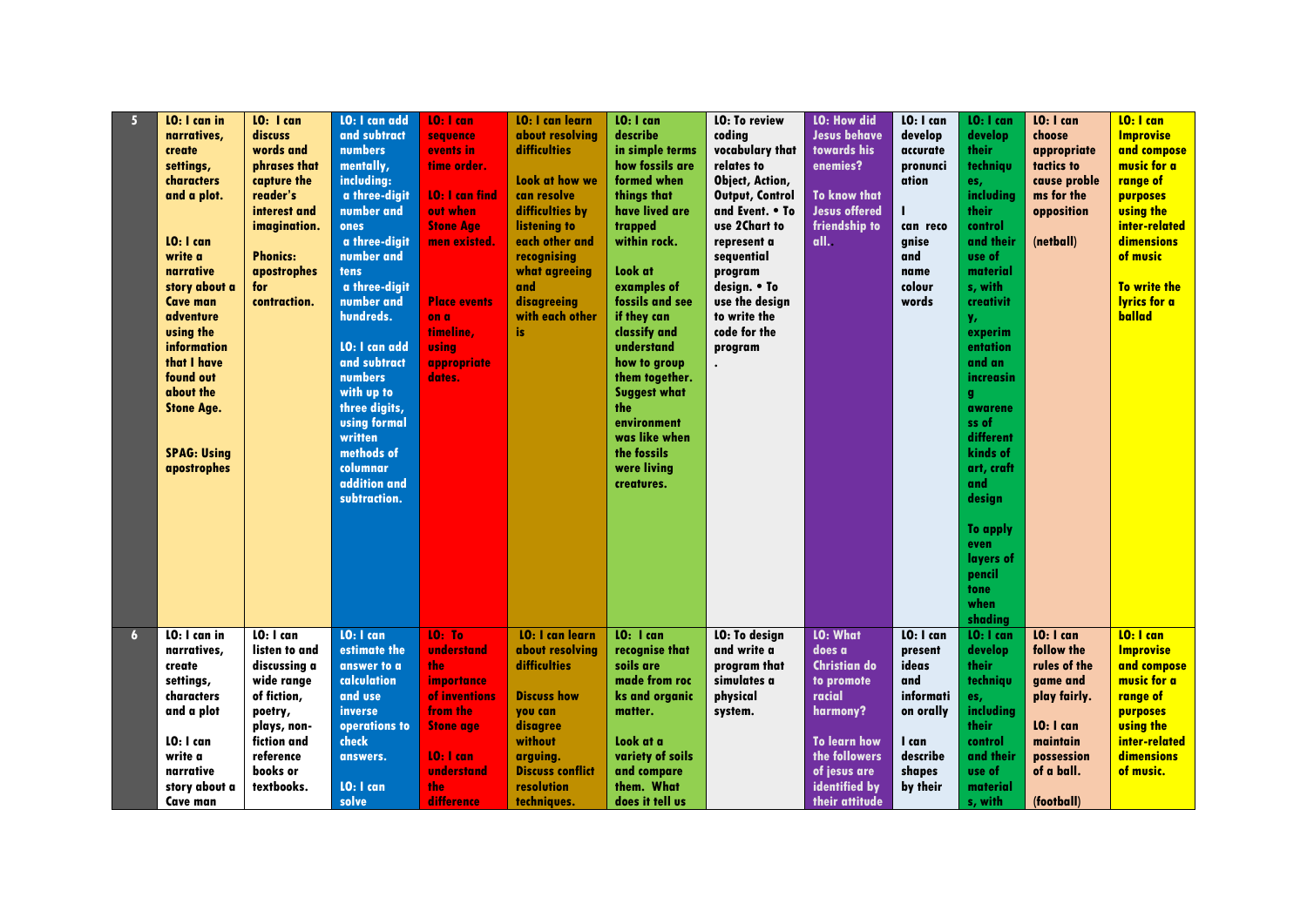| 5 <sup>1</sup> | LO: I can in       | LO: I can       | LO: I can add        | LO: I can             | <b>LO: I can learn</b>  | LO: I can           | <b>LO: To review</b>   | <b>LO: How did</b>   | LO: I can | LO: I can        | LO: I can    | LO: I can           |
|----------------|--------------------|-----------------|----------------------|-----------------------|-------------------------|---------------------|------------------------|----------------------|-----------|------------------|--------------|---------------------|
|                | narratives,        | discuss         | and subtract         | sequence              | about resolvina         | describe            | coding                 | <b>Jesus behave</b>  | develop   | develop          | choose       | <b>Improvise</b>    |
|                | create             | words and       | <b>numbers</b>       | events in             | <b>difficulties</b>     | in simple terms     | vocabulary that        | towards his          | accurate  | their            | appropriate  | and compose         |
|                | settings,          | phrases that    | mentally,            | time order.           |                         | how fossils are     | relates to             | enemies?             | pronunci  | techniqu         | tactics to   | music for a         |
|                | characters         | capture the     | including:           |                       | Look at how we          | formed when         | Object, Action,        |                      | ation     | es,              | cause proble | range of            |
|                | and a plot.        | reader's        | a three-digit        | <b>10: I can find</b> | can resolve             | things that         | <b>Output, Control</b> | <b>To know that</b>  |           | including        | ms for the   | purposes            |
|                |                    | interest and    | number and           | out when              | difficulties by         | have lived are      | and Event. • To        | <b>Jesus offered</b> | н         | <b>their</b>     | opposition   | <b>using the</b>    |
|                |                    | imagination.    | ones                 | <b>Stone Age</b>      | listening to            | trapped             | use 2Chart to          | friendship to        | can reco  | control          |              | inter-related       |
|                | LO: I can          |                 | a three-digit        | men existed.          | each other and          | within rock.        | represent a            | all.                 | gnise     | and their        | (netball)    | <b>dimensions</b>   |
|                | write a            | <b>Phonics:</b> | number and           |                       | recognising             |                     | sequential             |                      | and       | use of           |              | of music            |
|                | narrative          | apostrophes     | tens                 |                       | what agreeing           | Look at             | program                |                      | name      | material         |              |                     |
|                | story about a      | for             | a three-digit        |                       | and                     | examples of         | design. • To           |                      | colour    | s, with          |              | To write the        |
|                | <b>Cave man</b>    | contraction.    | number and           | <b>Place events</b>   | disagreeing             | fossils and see     | use the design         |                      | words     | creativit        |              | <b>Ivrics for a</b> |
|                | adventure          |                 | hundreds.            | on a                  | with each other         | if they can         | to write the           |                      |           | у,               |              | ballad              |
|                | using the          |                 |                      | timeline.             | is                      | classify and        | code for the           |                      |           | experim          |              |                     |
|                | information        |                 | <b>LO: I can add</b> | usina                 |                         | understand          | program                |                      |           | entation         |              |                     |
|                | that I have        |                 | and subtract         | appropriate           |                         | how to group        |                        |                      |           | and an           |              |                     |
|                | found out          |                 | <b>numbers</b>       | dates.                |                         | them together.      |                        |                      |           | increasin        |              |                     |
|                | about the          |                 | with up to           |                       |                         | <b>Suggest what</b> |                        |                      |           | q                |              |                     |
|                | <b>Stone Age.</b>  |                 | three digits,        |                       |                         | the                 |                        |                      |           | awarene          |              |                     |
|                |                    |                 | <b>using formal</b>  |                       |                         | environment         |                        |                      |           | ss of            |              |                     |
|                |                    |                 | written              |                       |                         | was like when       |                        |                      |           | different        |              |                     |
|                | <b>SPAG: Using</b> |                 | methods of           |                       |                         | the fossils         |                        |                      |           | kinds of         |              |                     |
|                | apostrophes        |                 | columnar             |                       |                         | were living         |                        |                      |           | art, craft       |              |                     |
|                |                    |                 | addition and         |                       |                         | creatures.          |                        |                      |           | and              |              |                     |
|                |                    |                 | subtraction.         |                       |                         |                     |                        |                      |           | design           |              |                     |
|                |                    |                 |                      |                       |                         |                     |                        |                      |           |                  |              |                     |
|                |                    |                 |                      |                       |                         |                     |                        |                      |           | To apply         |              |                     |
|                |                    |                 |                      |                       |                         |                     |                        |                      |           | even             |              |                     |
|                |                    |                 |                      |                       |                         |                     |                        |                      |           | layers of        |              |                     |
|                |                    |                 |                      |                       |                         |                     |                        |                      |           | pencil           |              |                     |
|                |                    |                 |                      |                       |                         |                     |                        |                      |           | tone             |              |                     |
|                |                    |                 |                      |                       |                         |                     |                        |                      |           | when             |              |                     |
|                |                    |                 |                      |                       |                         |                     |                        |                      |           | shading          |              |                     |
| $\overline{6}$ | LO: I can in       | LO: I can       | LO: I can            | <b>10: To</b>         | <b>10: I can learn</b>  | LO: I can           | <b>LO: To design</b>   | <b>LO: What</b>      | LO: I can | LO: I can        | LO: I can    | LO: I can           |
|                | narratives,        | listen to and   | estimate the         | understand            | about resolvina         | recognise that      | and write a            | does a               | present   | develop          | follow the   | <b>Improvise</b>    |
|                | create             | discussina a    | answer to a          | the                   | difficulties            | soils are           | program that           | <b>Christian do</b>  | ideas     | their            | rules of the | and compose         |
|                | settings,          | wide range      | calculation          | importance            |                         | made from roc       | simulates a            | to promote           | and       | techniqu         | game and     | music for a         |
|                | characters         | of fiction,     | and use              | of inventions         | <b>Discuss how</b>      | ks and organic      | physical               | racial               | informati | es,              | play fairly. | range of            |
|                | and a plot         | poetry,         | inverse              | from the              | you can                 | matter.             | system.                | harmony?             | on orally | <i>includina</i> |              | purposes            |
|                |                    | plays, non-     | operations to        | <b>Stone age</b>      | disagree                |                     |                        |                      |           | their            | LO: I can    | <b>using the</b>    |
|                | LO: I can          | fiction and     | check                |                       | without                 | Look at a           |                        | <b>To learn how</b>  | I can     | control          | maintain     | inter-related       |
|                | write a            | reference       |                      | LO: I can             | arguing.                | variety of soils    |                        | the followers        | describe  | and their        | possession   | dimensions          |
|                | narrative          | books or        | answers.             | understand            | <b>Discuss conflict</b> | and compare         |                        | of jesus are         | shapes    | use of           | of a ball.   | of music.           |
|                | story about a      | textbooks.      | <b>LO: I can</b>     | the                   | resolution              | them. What          |                        | identified by        | by their  |                  |              |                     |
|                |                    |                 |                      | difference            |                         |                     |                        |                      |           | material         | (football)   |                     |
|                | Cave man           |                 | solve                |                       | techniques.             | does it tell us     |                        | their attitude       |           | s, with          |              |                     |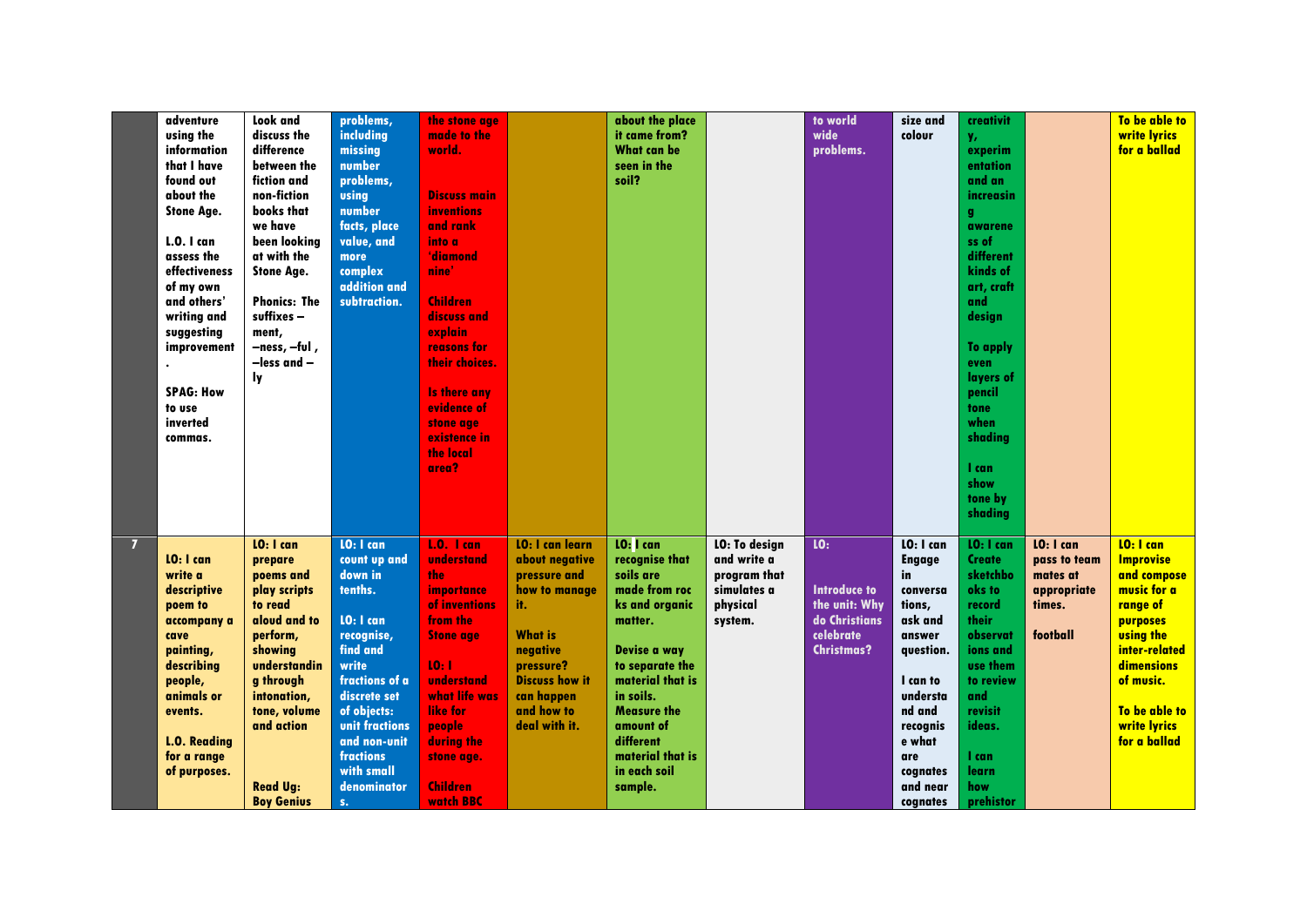|                | adventure<br>using the | <b>Look</b> and<br>discuss the | problems,<br>including | the stone age<br>made to the |                        | about the place<br>it came from? |                      | to world<br>wide    | size and<br>colour | creativit<br>y,     |              | To be able to<br>write lyrics |
|----------------|------------------------|--------------------------------|------------------------|------------------------------|------------------------|----------------------------------|----------------------|---------------------|--------------------|---------------------|--------------|-------------------------------|
|                | information            | difference                     | missing                | world.                       |                        | <b>What can be</b>               |                      | problems.           |                    | experim             |              | for a ballad                  |
|                | that I have            | between the                    | number                 |                              |                        | seen in the                      |                      |                     |                    | entation            |              |                               |
|                | found out              | fiction and                    | problems,              |                              |                        | soil?                            |                      |                     |                    | and an              |              |                               |
|                | about the              | non-fiction                    | using                  | <b>Discuss main</b>          |                        |                                  |                      |                     |                    | increasin           |              |                               |
|                | <b>Stone Age.</b>      | books that                     | number                 | <b>inventions</b>            |                        |                                  |                      |                     |                    | g.                  |              |                               |
|                |                        | we have                        | facts, place           | and rank                     |                        |                                  |                      |                     |                    | awarene             |              |                               |
|                | <b>L.O. I can</b>      | been looking                   | value, and             | into a                       |                        |                                  |                      |                     |                    | ss of               |              |                               |
|                | assess the             | at with the                    | more                   | 'diamond                     |                        |                                  |                      |                     |                    | different           |              |                               |
|                | effectiveness          | <b>Stone Age.</b>              | complex                | nine'                        |                        |                                  |                      |                     |                    | kinds of            |              |                               |
|                | of my own              |                                | addition and           |                              |                        |                                  |                      |                     |                    | art, craft          |              |                               |
|                | and others'            | <b>Phonics: The</b>            | subtraction.           | <b>Children</b>              |                        |                                  |                      |                     |                    | and                 |              |                               |
|                | writing and            | suffixes-                      |                        | discuss and                  |                        |                                  |                      |                     |                    | design              |              |                               |
|                | suggesting             | ment,                          |                        | explain                      |                        |                                  |                      |                     |                    |                     |              |                               |
|                | improvement            | -ness, -ful,                   |                        | reasons for                  |                        |                                  |                      |                     |                    | <b>To apply</b>     |              |                               |
|                |                        | -less and -                    |                        | their choices.               |                        |                                  |                      |                     |                    | even                |              |                               |
|                | <b>SPAG: How</b>       | ly.                            |                        | <b>Is there any</b>          |                        |                                  |                      |                     |                    | layers of<br>pencil |              |                               |
|                | to use                 |                                |                        | evidence of                  |                        |                                  |                      |                     |                    | tone                |              |                               |
|                | inverted               |                                |                        | stone age                    |                        |                                  |                      |                     |                    | when                |              |                               |
|                | commas.                |                                |                        | existence in                 |                        |                                  |                      |                     |                    | shading             |              |                               |
|                |                        |                                |                        | the local                    |                        |                                  |                      |                     |                    |                     |              |                               |
|                |                        |                                |                        | area?                        |                        |                                  |                      |                     |                    | l can               |              |                               |
|                |                        |                                |                        |                              |                        |                                  |                      |                     |                    | show                |              |                               |
|                |                        |                                |                        |                              |                        |                                  |                      |                     |                    | tone by             |              |                               |
|                |                        |                                |                        |                              |                        |                                  |                      |                     |                    | shading             |              |                               |
|                |                        |                                |                        |                              |                        |                                  |                      |                     |                    |                     |              |                               |
| $\overline{7}$ |                        | LO: I can                      | LO: I can              | $1.0.1$ can                  | <b>LO: I can learn</b> | LO: I can                        | <b>LO: To design</b> | <b>LO:</b>          | $10:1$ can         | LO: I can           | LO: I can    | LO: I can                     |
|                | LO: I can              | prepare                        | count up and           | understand                   | about negative         | recognise that                   | and write a          |                     | <b>Engage</b>      | <b>Create</b>       | pass to team | <b>Improvise</b>              |
|                | write a                | poems and                      | down in                | the                          | pressure and           | soils are                        | program that         |                     | in                 | sketchbo            | mates at     | and compose                   |
|                | descriptive            | play scripts                   | tenths.                | importance                   | how to manage          | made from roc                    | simulates a          | <b>Introduce to</b> | conversa           | oks to              | appropriate  | music for a                   |
|                | poem to                | to read                        |                        | of inventions                | it.                    | ks and organic                   | physical             | the unit: Why       | tions,             | record              | times.       | range of                      |
|                | accompany a            | aloud and to                   | LO: I can              | from the                     |                        | matter.                          | system.              | do Christians       | ask and            | their               |              | purposes                      |
|                | cave                   | perform,                       | recognise,             | <b>Stone age</b>             | <b>What is</b>         |                                  |                      | celebrate           | answer             | observat            | football     | <b>using the</b>              |
|                | painting,              | showing                        | find and               |                              | negative               | Devise a way                     |                      | <b>Christmas?</b>   | question.          | ions and            |              | inter-related                 |
|                | describing             | understandin                   | write                  | 10:1                         | pressure?              | to separate the                  |                      |                     |                    | use them            |              | dimensions                    |
|                | people,                | g through                      | fractions of a         | understand                   | <b>Discuss how it</b>  | material that is                 |                      |                     | I can to           | to review           |              | of music.                     |
|                | animals or             | intonation,                    | discrete set           | what life was                | can happen             | in soils.                        |                      |                     | understa           | and                 |              |                               |
|                | events.                | tone, volume                   | of objects:            | like for                     | and how to             | <b>Measure the</b>               |                      |                     | nd and             | revisit             |              | To be able to                 |
|                |                        | and action                     | unit fractions         | people                       | deal with it.          | amount of                        |                      |                     | recognis           | ideas.              |              | write lyrics                  |
|                | <b>L.O. Reading</b>    |                                | and non-unit           | during the                   |                        | different                        |                      |                     | e what             |                     |              | for a ballad                  |
|                | for a range            |                                | fractions              | stone age.                   |                        | material that is                 |                      |                     | are                | l can               |              |                               |
|                | of purposes.           |                                | with small             |                              |                        | in each soil                     |                      |                     | cognates           | learn               |              |                               |
|                |                        | <b>Read Ug:</b>                | denominator            | <b>Children</b>              |                        | sample.                          |                      |                     | and near           | how                 |              |                               |
|                |                        | <b>Boy Genius</b>              | S <sub>1</sub>         | watch <b>BBC</b>             |                        |                                  |                      |                     | cognates           | prehistor           |              |                               |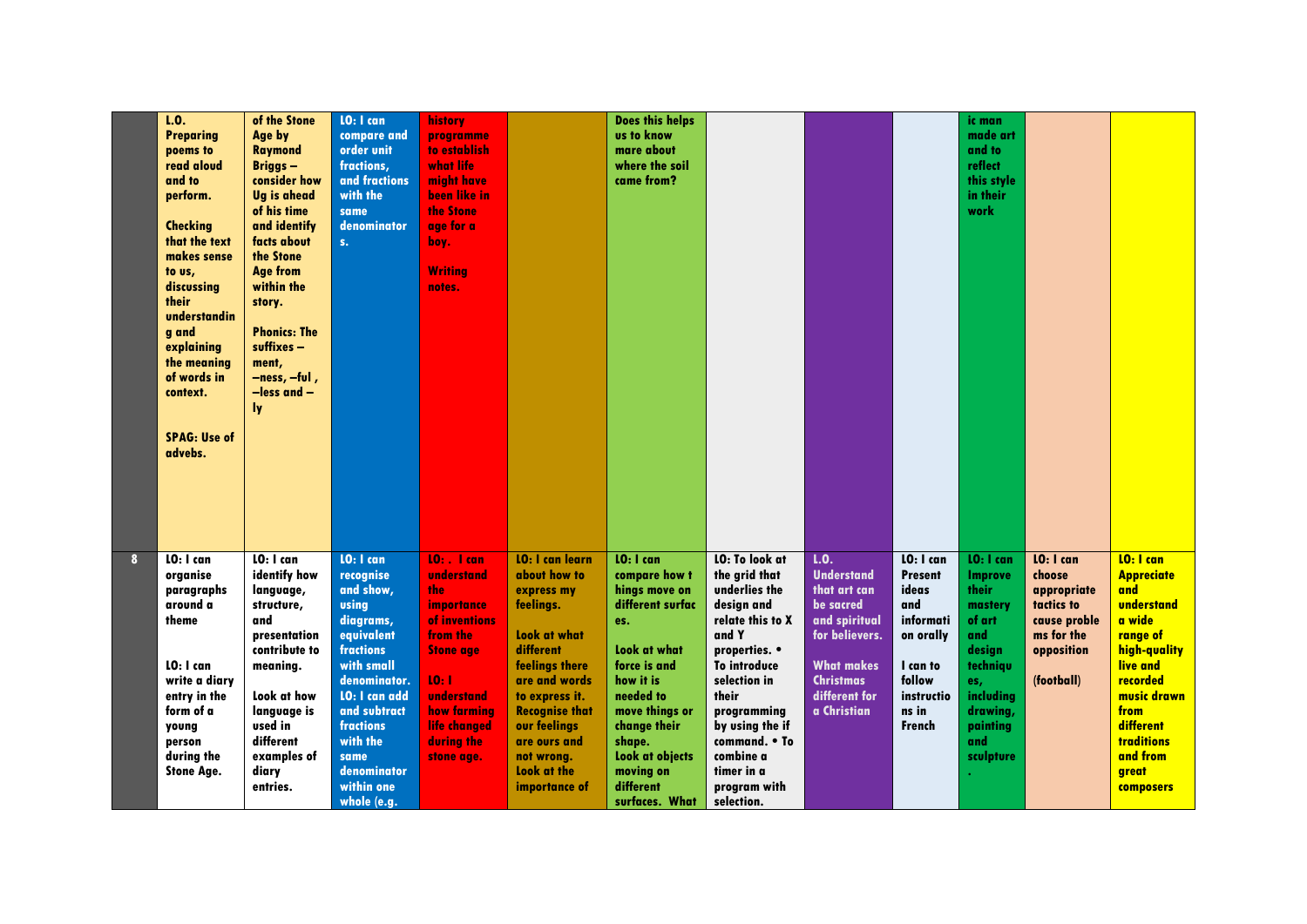|              | 1.0.<br><b>Preparing</b><br>poems to<br>read aloud<br>and to<br>perform.<br><b>Checking</b><br>that the text<br>makes sense<br>to us,<br>discussing<br>their<br>understandin<br>g and<br>explaining<br>the meaning<br>of words in<br>context.<br><b>SPAG: Use of</b><br>advebs. | of the Stone<br>Age by<br><b>Raymond</b><br><b>Briggs-</b><br>consider how<br><b>Ug is ahead</b><br>of his time<br>and identify<br>facts about<br>the Stone<br><b>Age from</b><br>within the<br>story.<br><b>Phonics: The</b><br>suffixes-<br>ment,<br>—ness, —ful ,<br>$-$ less and $-$<br>ly. | LO: I can<br>compare and<br>order unit<br>fractions,<br>and fractions<br>with the<br>same<br>denominator<br>S <sub>1</sub>                                                                                                                            | <b>history</b><br>programme<br>to establish<br>what life<br>might have<br>been like in<br>the Stone<br>age for a<br>boy.<br><b>Writing</b><br>notes.                               |                                                                                                                                                                                                                                                            | <b>Does this helps</b><br>us to know<br>mare about<br>where the soil<br>came from?                                                                                                                                                                 |                                                                                                                                                                                                                                                                          |                                                                                                                                                                    |                                                                                                                                     | ic man<br>made art<br>and to<br>reflect<br>this style<br>in their<br>work                                                                       |                                                                                                            |                                                                                                                                                                                                                     |
|--------------|---------------------------------------------------------------------------------------------------------------------------------------------------------------------------------------------------------------------------------------------------------------------------------|-------------------------------------------------------------------------------------------------------------------------------------------------------------------------------------------------------------------------------------------------------------------------------------------------|-------------------------------------------------------------------------------------------------------------------------------------------------------------------------------------------------------------------------------------------------------|------------------------------------------------------------------------------------------------------------------------------------------------------------------------------------|------------------------------------------------------------------------------------------------------------------------------------------------------------------------------------------------------------------------------------------------------------|----------------------------------------------------------------------------------------------------------------------------------------------------------------------------------------------------------------------------------------------------|--------------------------------------------------------------------------------------------------------------------------------------------------------------------------------------------------------------------------------------------------------------------------|--------------------------------------------------------------------------------------------------------------------------------------------------------------------|-------------------------------------------------------------------------------------------------------------------------------------|-------------------------------------------------------------------------------------------------------------------------------------------------|------------------------------------------------------------------------------------------------------------|---------------------------------------------------------------------------------------------------------------------------------------------------------------------------------------------------------------------|
| $\mathbf{8}$ | LO: I can<br>organise<br>paragraphs<br>around a<br>theme<br>LO: I can<br>write a diary<br>entry in the<br>form of a<br>young<br>person<br>during the<br><b>Stone Age.</b>                                                                                                       | LO: I can<br>identify how<br>language,<br>structure,<br>and<br>presentation<br>contribute to<br>meaning.<br>Look at how<br>language is<br>used in<br>different<br>examples of<br>diary<br>entries.                                                                                              | LO: I can<br>recognise<br>and show,<br><b>using</b><br>diagrams,<br>equivalent<br>fractions<br>with small<br>denominator.<br><b>LO: I can add</b><br>and subtract<br><b>fractions</b><br>with the<br>same<br>denominator<br>within one<br>whole (e.g. | $10:$ . I can<br>understand<br>the<br>importance<br>of inventions<br>from the<br><b>Stone age</b><br>10:1<br>understand<br>how farming<br>life changed<br>during the<br>stone age. | <b>LO: I can learn</b><br>about how to<br>express my<br>feelings.<br>Look at what<br>different<br>feelings there<br>are and words<br>to express it.<br><b>Recognise that</b><br>our feelings<br>are ours and<br>not wrong.<br>Look at the<br>importance of | LO: I can<br>compare how t<br>hings move on<br>different surfac<br>es.<br>Look at what<br>force is and<br>how it is<br>needed to<br>move things or<br>change their<br>shape.<br><b>Look at objects</b><br>moving on<br>different<br>surfaces. What | LO: To look at<br>the grid that<br>underlies the<br>design and<br>relate this to X<br>and Y<br>properties. •<br><b>To introduce</b><br>selection in<br>their<br>programming<br>by using the if<br>command. • To<br>combine a<br>timer in a<br>program with<br>selection. | L.0.<br><b>Understand</b><br>that art can<br>be sacred<br>and spiritual<br>for believers.<br><b>What makes</b><br><b>Christmas</b><br>different for<br>a Christian | LO: I can<br><b>Present</b><br>ideas<br>and<br>informati<br>on orally<br>I can to<br>follow<br>instructio<br>ns in<br><b>French</b> | LO: I can<br>Improve<br>their<br>mastery<br>of art<br>and<br>design<br>techniqu<br>es,<br>including<br>drawing,<br>painting<br>and<br>sculpture | LO: I can<br>choose<br>appropriate<br>tactics to<br>cause proble<br>ms for the<br>opposition<br>(football) | LO: I can<br><b>Appreciate</b><br>and<br>understand<br>a wide<br>range of<br>high-quality<br>live and<br>recorded<br>music drawn<br>from<br>different<br><b>traditions</b><br>and from<br>great<br><b>composers</b> |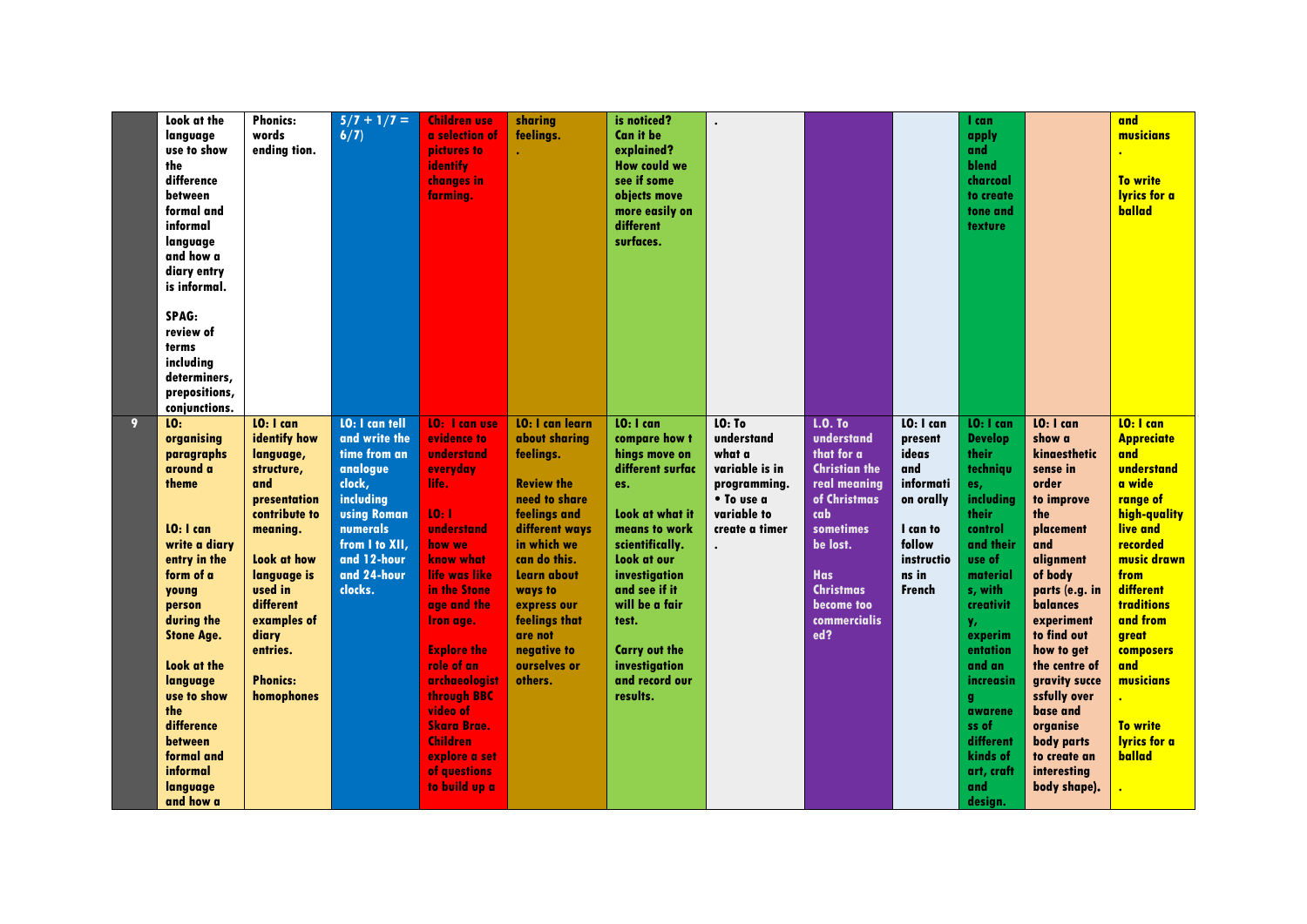|                | Look at the<br>langvage<br>use to show<br>the<br>difference<br>between<br>formal and<br>informal<br>language<br>and how a<br>diary entry<br>is informal.<br>SPAG:<br>review of<br>terms<br>including<br>determiners,<br>prepositions,<br>conjunctions.                                                         | <b>Phonics:</b><br>words<br>ending tion.                                                                                                                                                                                            | $5/7 + 1/7 =$<br>6/7                                                                                                                                                                   | <b>Children use</b><br>a selection of<br>pictures to<br>identify<br>changes in<br>farming.                                                                                                                                                                                                                                                           | sharing<br>feelings.                                                                                                                                                                                                                                                       | is noticed?<br><b>Can it be</b><br>explained?<br><b>How could we</b><br>see if some<br>objects move<br>more easily on<br>different<br>surfaces.                                                                                                                                  |                                                                                                                 |                                                                                                                                                                                                                  |                                                                                                                               | 1 can<br>apply<br>and<br>blend<br>charcoal<br>to create<br>tone and<br>texture                                                                                                                                                                                                            |                                                                                                                                                                                                                                                                                                                                           | and<br>musicians<br><b>To write</b><br><b>lyrics for a</b><br>ballad                                                                                                                                                                                                                          |
|----------------|----------------------------------------------------------------------------------------------------------------------------------------------------------------------------------------------------------------------------------------------------------------------------------------------------------------|-------------------------------------------------------------------------------------------------------------------------------------------------------------------------------------------------------------------------------------|----------------------------------------------------------------------------------------------------------------------------------------------------------------------------------------|------------------------------------------------------------------------------------------------------------------------------------------------------------------------------------------------------------------------------------------------------------------------------------------------------------------------------------------------------|----------------------------------------------------------------------------------------------------------------------------------------------------------------------------------------------------------------------------------------------------------------------------|----------------------------------------------------------------------------------------------------------------------------------------------------------------------------------------------------------------------------------------------------------------------------------|-----------------------------------------------------------------------------------------------------------------|------------------------------------------------------------------------------------------------------------------------------------------------------------------------------------------------------------------|-------------------------------------------------------------------------------------------------------------------------------|-------------------------------------------------------------------------------------------------------------------------------------------------------------------------------------------------------------------------------------------------------------------------------------------|-------------------------------------------------------------------------------------------------------------------------------------------------------------------------------------------------------------------------------------------------------------------------------------------------------------------------------------------|-----------------------------------------------------------------------------------------------------------------------------------------------------------------------------------------------------------------------------------------------------------------------------------------------|
| $\overline{9}$ | 10 <sub>1</sub><br>organising<br>paragraphs<br>around a<br>theme<br>LO: I can<br>write a diarv<br>entry in the<br>form of a<br>young<br>person<br>during the<br><b>Stone Age.</b><br>Look at the<br>language<br>use to show<br>the<br>difference<br>between<br>formal and<br>informal<br>language<br>and how a | LO: I can<br>identify how<br>language,<br>structure,<br>and<br>presentation<br>contribute to<br>meaning.<br>Look at how<br>language is<br>used in<br>different<br>examples of<br>diary<br>entries.<br><b>Phonics:</b><br>homophones | <b>LO: I can tell</b><br>and write the<br>time from an<br>analogue<br>clock,<br>including<br><b>using Roman</b><br>numerals<br>from I to XII.<br>and 12-hour<br>and 24-hour<br>clocks. | <b>10:</b> I can use<br>evidence to<br>understand<br>everyday<br>life.<br>10:1<br>understand<br>how we<br>know what<br>life was like<br>in the Stone<br>age and the<br>Iron age.<br><b>Explore the</b><br>role of an<br>archaeologist<br>through BBC<br>video of<br><b>Skara Brae.</b><br>Children<br>explore a set<br>of questions<br>to build up a | <b>LO: I can learn</b><br>about sharina<br>feelings.<br><b>Review the</b><br>need to share<br>feelings and<br>different ways<br>in which we<br>can do this.<br>Learn about<br>ways to<br>express our<br>feelings that<br>are not<br>negative to<br>ourselves or<br>others. | LO: I can<br>compare how t<br>hings move on<br>different surfac<br>es.<br>Look at what it<br>means to work<br>scientifically.<br>Look at our<br>investigation<br>and see if it<br>will be a fair<br>test.<br><b>Carry out the</b><br>investigation<br>and record our<br>results. | LO: To<br>understand<br>what a<br>variable is in<br>programming.<br>• To use a<br>variable to<br>create a timer | <b>L.O. To</b><br>understand<br>that for a<br><b>Christian the</b><br>real meaning<br>of Christmas<br>cab<br><b>sometimes</b><br>be lost.<br><b>Has</b><br><b>Christmas</b><br>become too<br>commercialis<br>ed? | $10:1$ can<br>present<br>ideas<br>and<br>informati<br>on orally<br>I can to<br>follow<br>instructio<br>ns in<br><b>French</b> | LO: I can<br><b>Develop</b><br>their<br>techniqu<br>es,<br>including<br>their<br>control<br>and their<br>use of<br>material<br>s, with<br>creativit<br>γ,<br>experim<br>entation<br>and an<br>increasin<br>g<br>awarene<br>ss of<br>different<br>kinds of<br>art, craft<br>and<br>design. | LO: I can<br>show a<br>kinaesthetic<br>sense in<br>order<br>to improve<br>the<br>placement<br>and<br>alignment<br>of body<br>parts (e.g. in<br>balances<br>experiment<br>to find out<br>how to get<br>the centre of<br>gravity succe<br>ssfully over<br>base and<br>organise<br>body parts<br>to create an<br>interesting<br>body shape). | $LO:$ I can<br><b>Appreciate</b><br>and<br>understand<br>a wide<br>range of<br>high-quality<br>live and<br>recorded<br>music drawn<br>from<br>different<br><b>traditions</b><br>and from<br>great<br><b>composers</b><br>and<br>musicians<br><b>To write</b><br><b>lyrics for a</b><br>ballad |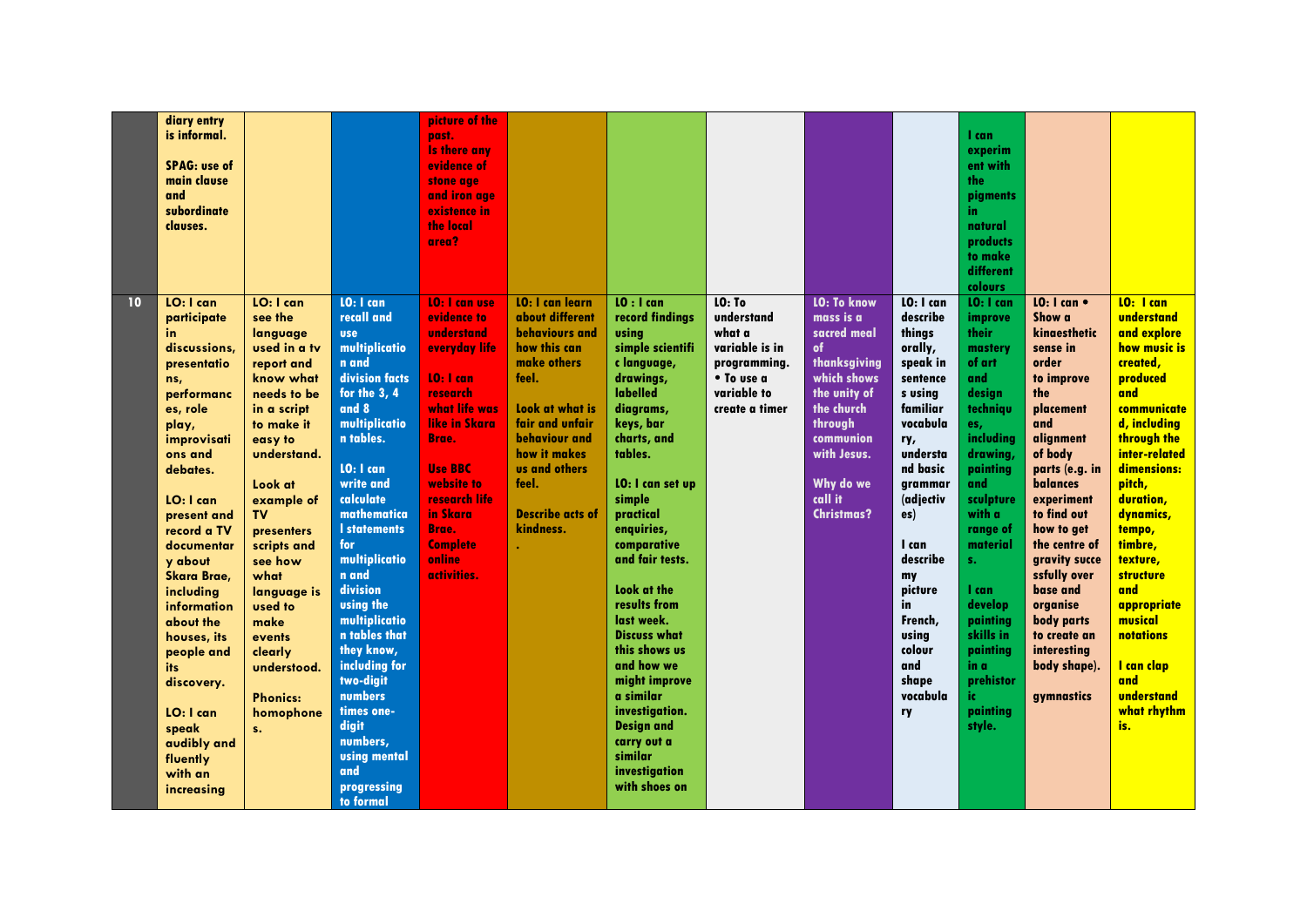|    | diary entry<br>is informal.<br><b>SPAG: use of</b><br>main clause<br>and<br>subordinate<br>clauses.                                                                                                                                                                                                                                                                                                           |                                                                                                                                                                                                                                                                                                                                                                 |                                                                                                                                                                                                                                                                                                                                                                                                                                                                             | picture of the<br>past.<br><b>Is there any</b><br>evidence of<br>stone age<br>and iron age<br>existence in<br>the local<br>area?                                                                                                                          |                                                                                                                                                                                                                                                     |                                                                                                                                                                                                                                                                                                                                                                                                                                                                                      |                                                                                                                 |                                                                                                                                                                                                       |                                                                                                                                                                                                                                                                                 | I can<br>experim<br>ent with<br>the<br>pigments<br>in.<br>natural<br>products<br>to make<br>different<br>colours                                                                                                                                                                                         |                                                                                                                                                                                                                                                                                                                                                                                 |                                                                                                                                                                                                                                                                                                                                                                     |
|----|---------------------------------------------------------------------------------------------------------------------------------------------------------------------------------------------------------------------------------------------------------------------------------------------------------------------------------------------------------------------------------------------------------------|-----------------------------------------------------------------------------------------------------------------------------------------------------------------------------------------------------------------------------------------------------------------------------------------------------------------------------------------------------------------|-----------------------------------------------------------------------------------------------------------------------------------------------------------------------------------------------------------------------------------------------------------------------------------------------------------------------------------------------------------------------------------------------------------------------------------------------------------------------------|-----------------------------------------------------------------------------------------------------------------------------------------------------------------------------------------------------------------------------------------------------------|-----------------------------------------------------------------------------------------------------------------------------------------------------------------------------------------------------------------------------------------------------|--------------------------------------------------------------------------------------------------------------------------------------------------------------------------------------------------------------------------------------------------------------------------------------------------------------------------------------------------------------------------------------------------------------------------------------------------------------------------------------|-----------------------------------------------------------------------------------------------------------------|-------------------------------------------------------------------------------------------------------------------------------------------------------------------------------------------------------|---------------------------------------------------------------------------------------------------------------------------------------------------------------------------------------------------------------------------------------------------------------------------------|----------------------------------------------------------------------------------------------------------------------------------------------------------------------------------------------------------------------------------------------------------------------------------------------------------|---------------------------------------------------------------------------------------------------------------------------------------------------------------------------------------------------------------------------------------------------------------------------------------------------------------------------------------------------------------------------------|---------------------------------------------------------------------------------------------------------------------------------------------------------------------------------------------------------------------------------------------------------------------------------------------------------------------------------------------------------------------|
| 10 | LO: I can<br>participate<br>in.<br>discussions,<br>presentatio<br>ns,<br>performanc<br>es, role<br>play,<br>improvisati<br>ons and<br>debates.<br>LO: I can<br>present and<br>record a TV<br>documentar<br>y about<br><b>Skara Brae,</b><br>including<br>information<br>about the<br>houses, its<br>people and<br>its<br>discovery.<br>LO: I can<br>speak<br>audibly and<br>fluently<br>with an<br>increasing | LO: I can<br>see the<br>language<br>used in a tv<br>report and<br>know what<br>needs to be<br>in a script<br>to make it<br>easy to<br>understand.<br>Look at<br>example of<br><b>TV</b><br>presenters<br>scripts and<br>see how<br>what<br>language is<br>used to<br>make<br>events<br>clearly<br>understood.<br><b>Phonics:</b><br>homophone<br>S <sub>1</sub> | LO: I can<br>recall and<br><b>use</b><br>multiplicatio<br>n and<br>division facts<br>for the 3,4<br>and 8<br>multiplicatio<br>n tables.<br>LO: I can<br>write and<br>calculate<br>mathematica<br><b>I</b> statements<br>for<br>multiplicatio<br>n and<br>division<br><b>using the</b><br>multiplicatio<br>n tables that<br>they know,<br>including for<br>two-digit<br>numbers<br>times one-<br>digit<br>numbers,<br><b>using mental</b><br>and<br>progressing<br>to formal | <b>LO: I can use</b><br>evidence to<br>understand<br>everyday life<br>$10:1$ can<br>research<br>what life was<br>like in Skara<br>Brae.<br><b>Use BBC</b><br>website to<br>research life<br>in Skara<br>Brae.<br><b>Complete</b><br>online<br>activities. | <b>LO: I can learn</b><br>about different<br>behaviours and<br>how this can<br>make others<br>feel.<br>Look at what is<br>fair and unfair<br><b>behaviour</b> and<br>how it makes<br>us and others<br>feel.<br><b>Describe acts of</b><br>kindness. | $10:1$ can<br>record findings<br>usina<br>simple scientifi<br>clanguage,<br>drawings,<br>labelled<br>diagrams,<br>keys, bar<br>charts, and<br>tables.<br>LO: I can set up<br>simple<br>practical<br>enquiries,<br>comparative<br>and fair tests.<br>Look at the<br>results from<br>last week.<br><b>Discuss what</b><br>this shows us<br>and how we<br>might improve<br>a similar<br>investigation.<br><b>Design and</b><br>carry out a<br>similar<br>investigation<br>with shoes on | LO: To<br>understand<br>what a<br>variable is in<br>programming.<br>• To use a<br>variable to<br>create a timer | <b>LO: To know</b><br>mass is a<br>sacred meal<br>of<br>thanksgiving<br>which shows<br>the unity of<br>the church<br>through<br>communion<br>with Jesus.<br>Why do we<br>call it<br><b>Christmas?</b> | LO: I can<br>describe<br>things<br>orally,<br>speak in<br>sentence<br>s using<br>familiar<br>vocabula<br>ry,<br>understa<br>nd basic<br>grammar<br>(adjectiv<br>es)<br>I can<br>describe<br>my<br>picture<br>in<br>French,<br>using<br>colour<br>and<br>shape<br>vocabula<br>ry | $10:1$ can<br>improve<br>their<br>mastery<br>of art<br>and<br>design<br>techniqu<br>es,<br>including<br>drawing,<br>painting<br>and<br>sculpture<br>with a<br>range of<br>material<br>$S_{+}$<br>I can<br>develop<br>painting<br>skills in<br>painting<br>in a<br>prehistor<br>ic.<br>painting<br>style. | <b>10:</b> I can $\bullet$<br>Show a<br>kinaesthetic<br>sense in<br>order<br>to improve<br>the<br>placement<br>and<br>alignment<br>of body<br>parts (e.g. in<br><b>balances</b><br>experiment<br>to find out<br>how to get<br>the centre of<br>gravity succe<br>ssfully over<br>base and<br>organise<br>body parts<br>to create an<br>interestina<br>body shape).<br>gymnastics | LO: I can<br>understand<br>and explore<br>how music is<br>created,<br>produced<br>and<br>communicate<br>d, including<br>through the<br>inter-related<br>dimensions:<br>pitch,<br>duration,<br>dynamics,<br>tempo,<br>timbre,<br>texture,<br><b>structure</b><br>and<br>appropriate<br>musical<br>notations<br>I can clap<br>and<br>understand<br>what rhythm<br>is. |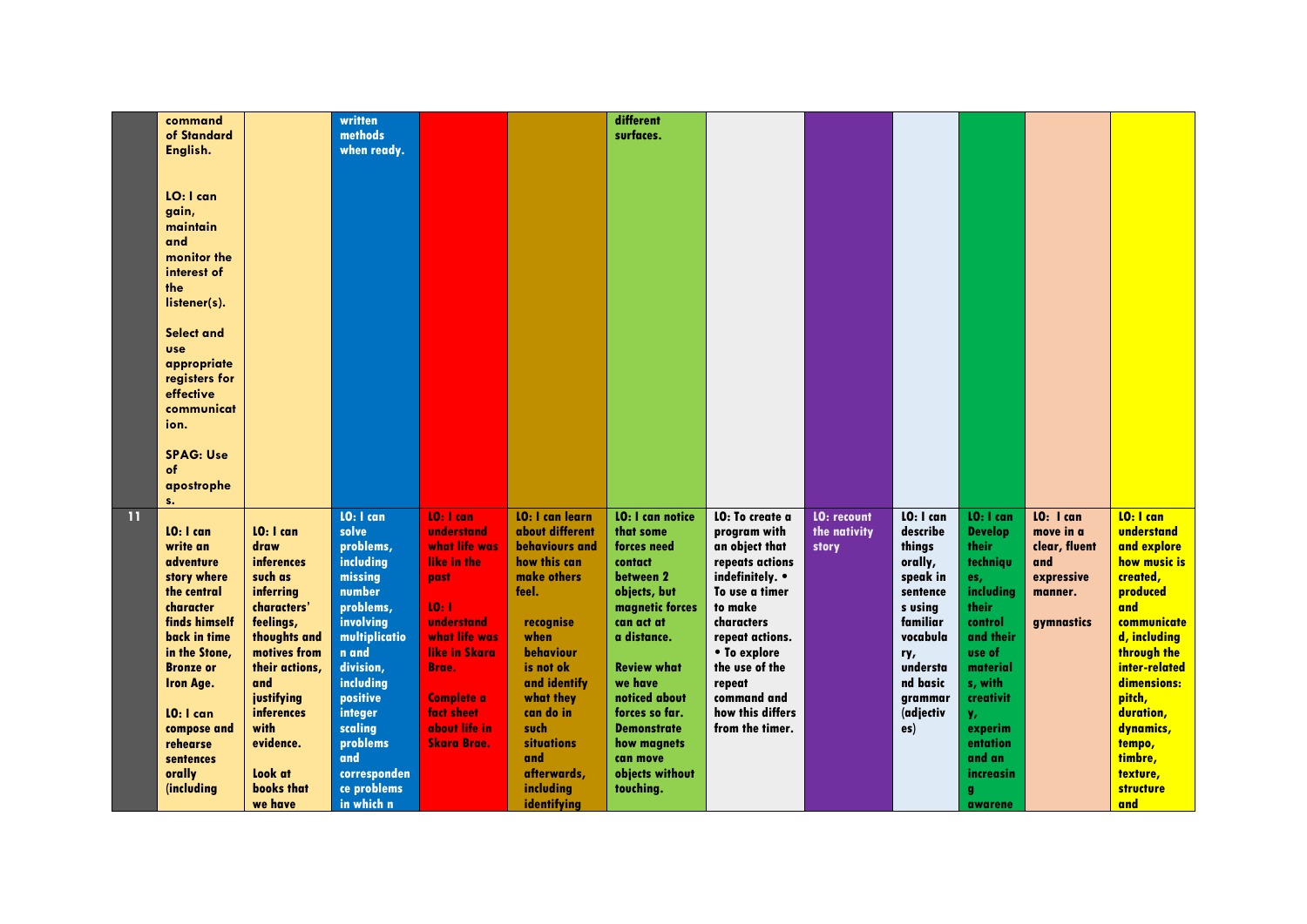|              | command          |                | written       |                    |                        | different               |                  |                    |           |                |                   |                  |
|--------------|------------------|----------------|---------------|--------------------|------------------------|-------------------------|------------------|--------------------|-----------|----------------|-------------------|------------------|
|              | of Standard      |                | methods       |                    |                        | surfaces.               |                  |                    |           |                |                   |                  |
|              | English.         |                | when ready.   |                    |                        |                         |                  |                    |           |                |                   |                  |
|              |                  |                |               |                    |                        |                         |                  |                    |           |                |                   |                  |
|              |                  |                |               |                    |                        |                         |                  |                    |           |                |                   |                  |
|              |                  |                |               |                    |                        |                         |                  |                    |           |                |                   |                  |
|              | LO: I can        |                |               |                    |                        |                         |                  |                    |           |                |                   |                  |
|              | gain,            |                |               |                    |                        |                         |                  |                    |           |                |                   |                  |
|              | maintain         |                |               |                    |                        |                         |                  |                    |           |                |                   |                  |
|              | and              |                |               |                    |                        |                         |                  |                    |           |                |                   |                  |
|              | monitor the      |                |               |                    |                        |                         |                  |                    |           |                |                   |                  |
|              | interest of      |                |               |                    |                        |                         |                  |                    |           |                |                   |                  |
|              | the              |                |               |                    |                        |                         |                  |                    |           |                |                   |                  |
|              |                  |                |               |                    |                        |                         |                  |                    |           |                |                   |                  |
|              | listener(s).     |                |               |                    |                        |                         |                  |                    |           |                |                   |                  |
|              |                  |                |               |                    |                        |                         |                  |                    |           |                |                   |                  |
|              | Select and       |                |               |                    |                        |                         |                  |                    |           |                |                   |                  |
|              | <b>use</b>       |                |               |                    |                        |                         |                  |                    |           |                |                   |                  |
|              | appropriate      |                |               |                    |                        |                         |                  |                    |           |                |                   |                  |
|              | registers for    |                |               |                    |                        |                         |                  |                    |           |                |                   |                  |
|              | effective        |                |               |                    |                        |                         |                  |                    |           |                |                   |                  |
|              | communicat       |                |               |                    |                        |                         |                  |                    |           |                |                   |                  |
|              | ion.             |                |               |                    |                        |                         |                  |                    |           |                |                   |                  |
|              |                  |                |               |                    |                        |                         |                  |                    |           |                |                   |                  |
|              | <b>SPAG: Use</b> |                |               |                    |                        |                         |                  |                    |           |                |                   |                  |
|              |                  |                |               |                    |                        |                         |                  |                    |           |                |                   |                  |
|              | of               |                |               |                    |                        |                         |                  |                    |           |                |                   |                  |
|              | apostrophe       |                |               |                    |                        |                         |                  |                    |           |                |                   |                  |
|              | S <sub>1</sub>   |                |               |                    |                        |                         |                  |                    |           |                |                   |                  |
| $\mathbf{H}$ |                  |                | LO: I can     | $10:1$ can         | <b>LO: I can learn</b> | <b>LO: I can notice</b> | LO: To create a  | <b>LO: recount</b> | LO: I can | LO: I can      | <b>LO:</b> I can  | LO: I can        |
|              | LO: I can        | LO: I can      | solve         | understand         | about different        | that some               | program with     | the nativity       | describe  | <b>Develop</b> | move in a         | understand       |
|              | write an         | draw           | problems,     | what life was      | <b>behaviours</b> and  | forces need             | an object that   | story              | things    | their          | clear, fluent     | and explore      |
|              | adventure        | inferences     | including     | like in the        | how this can           | contact                 | repeats actions  |                    | orally,   | techniqu       | and               | how music is     |
|              | story where      | such as        | missing       | past               | make others            | between 2               | indefinitely. •  |                    | speak in  | es,            | expressive        | created,         |
|              | the central      | inferring      | number        |                    | feel.                  | objects, but            | To use a timer   |                    | sentence  | including      | manner.           | produced         |
|              | character        | characters'    | problems,     | 10:1               |                        | magnetic forces         | to make          |                    | s usina   | their          |                   | and              |
|              | finds himself    | feelings,      | involving     | understand         | recognise              | can act at              | characters       |                    | familiar  | control        | <b>aymnastics</b> | communicate      |
|              | back in time     | thoughts and   | multiplicatio | what life was      | when                   | a distance.             |                  |                    | vocabula  | and their      |                   | d, including     |
|              |                  |                |               |                    |                        |                         | repeat actions.  |                    |           |                |                   |                  |
|              | in the Stone,    | motives from   | n and         | like in Skara      | behaviour              |                         | • To explore     |                    | ry,       | use of         |                   | through the      |
|              | <b>Bronze or</b> | their actions, | division,     | <b>Brae.</b>       | is not ok              | <b>Review what</b>      | the use of the   |                    | understa  | material       |                   | inter-related    |
|              | <b>Iron Age.</b> | and            | including     |                    | and identify           | we have                 | repeat           |                    | nd basic  | s, with        |                   | dimensions:      |
|              |                  | justifying     | positive      | <b>Complete a</b>  | what they              | noticed about           | command and      |                    | grammar   | creativit      |                   | pitch,           |
|              | LO: I can        | inferences     | integer       | fact sheet         | can do in              | forces so far.          | how this differs |                    | (adjectiv | у,             |                   | duration,        |
|              | compose and      | with           | scaling       | about life in      | such                   | <b>Demonstrate</b>      | from the timer.  |                    | es)       | experim        |                   | dynamics,        |
|              | rehearse         | evidence.      | problems      | <b>Skara Brae.</b> | <b>situations</b>      | how magnets             |                  |                    |           | entation       |                   | tempo,           |
|              | sentences        |                | and           |                    | and                    | can move                |                  |                    |           | and an         |                   | timbre,          |
|              | orally           | Look at        | corresponden  |                    | afterwards,            | objects without         |                  |                    |           | increasin      |                   | texture,         |
|              | (including       | books that     | ce problems   |                    | including              | touching.               |                  |                    |           | g              |                   | <b>structure</b> |
|              |                  | we have        | in which n    |                    | identifying            |                         |                  |                    |           | awarene        |                   | and              |
|              |                  |                |               |                    |                        |                         |                  |                    |           |                |                   |                  |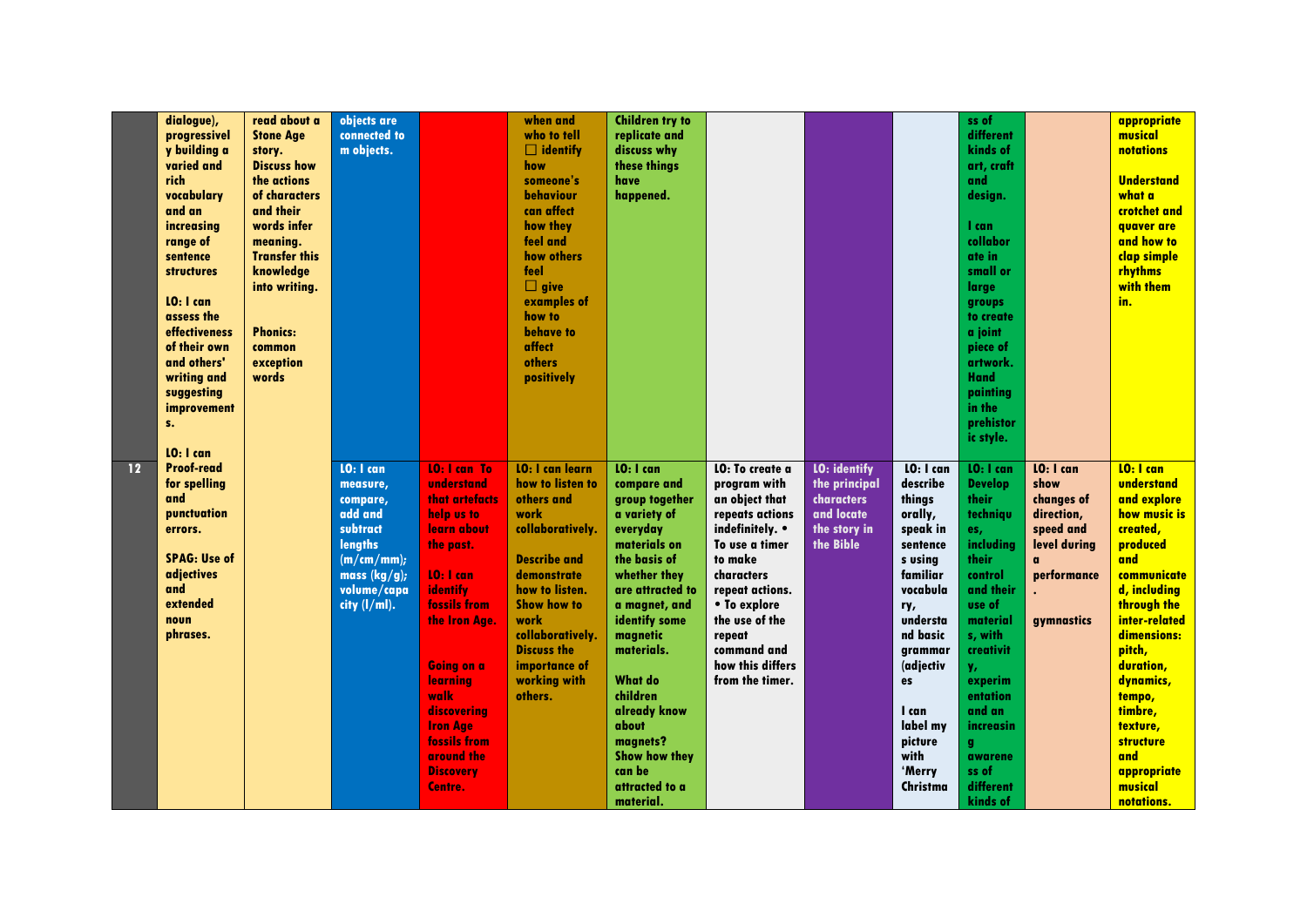|    | dialogue),          | read about a         | objects are     |                     | when and               | <b>Children try to</b>      |                  |                     |           | ss of                 |              | appropriate           |
|----|---------------------|----------------------|-----------------|---------------------|------------------------|-----------------------------|------------------|---------------------|-----------|-----------------------|--------------|-----------------------|
|    | progressivel        | <b>Stone Age</b>     | connected to    |                     | who to tell            | replicate and               |                  |                     |           | different             |              | musical               |
|    | y building a        | story.               | m objects.      |                     | $\Box$ identify        | discuss why                 |                  |                     |           | kinds of              |              | <b>notations</b>      |
|    | varied and          | <b>Discuss how</b>   |                 |                     | how                    | these things                |                  |                     |           | art, craft            |              |                       |
|    | rich                | the actions          |                 |                     | someone's              | have                        |                  |                     |           | and                   |              | <b>Understand</b>     |
|    | vocabulary          | of characters        |                 |                     | behaviour              | happened.                   |                  |                     |           | design.               |              | what a                |
|    | and an              | and their            |                 |                     | can affect             |                             |                  |                     |           |                       |              | crotchet and          |
|    | increasing          | words infer          |                 |                     | how they               |                             |                  |                     |           | 1 can                 |              | quaver are            |
|    | range of            | meaning.             |                 |                     | feel and               |                             |                  |                     |           | collabor              |              | and how to            |
|    | sentence            | <b>Transfer this</b> |                 |                     | how others             |                             |                  |                     |           | ate in                |              | clap simple           |
|    | <b>structures</b>   | knowledge            |                 |                     | feel                   |                             |                  |                     |           | small or              |              | rhythms               |
|    |                     | into writing.        |                 |                     | $\Box$ give            |                             |                  |                     |           | large                 |              | with them             |
|    | LO: I can           |                      |                 |                     | examples of            |                             |                  |                     |           |                       |              | in.                   |
|    | assess the          |                      |                 |                     | how to                 |                             |                  |                     |           | groups<br>to create   |              |                       |
|    | effectiveness       | <b>Phonics:</b>      |                 |                     | behave to              |                             |                  |                     |           | a joint               |              |                       |
|    | of their own        | common               |                 |                     | affect                 |                             |                  |                     |           |                       |              |                       |
|    | and others'         | exception            |                 |                     | others                 |                             |                  |                     |           | piece of<br>artwork.  |              |                       |
|    | writing and         | words                |                 |                     | positively             |                             |                  |                     |           | <b>Hand</b>           |              |                       |
|    |                     |                      |                 |                     |                        |                             |                  |                     |           |                       |              |                       |
|    | suggesting          |                      |                 |                     |                        |                             |                  |                     |           | painting<br>in the    |              |                       |
|    | improvement         |                      |                 |                     |                        |                             |                  |                     |           |                       |              |                       |
|    | S <sub>1</sub>      |                      |                 |                     |                        |                             |                  |                     |           | prehistor             |              |                       |
|    | $10:1$ can          |                      |                 |                     |                        |                             |                  |                     |           | ic style.             |              |                       |
| 12 | <b>Proof-read</b>   |                      | LO: I can       |                     |                        | LO: I can                   |                  |                     |           |                       |              | LO: I can             |
|    |                     |                      |                 | <b>10: I can To</b> | <b>LO: I can learn</b> |                             | LO: To create a  | <b>LO: identify</b> | LO: I can | LO: I can             | LO: I can    |                       |
|    | for spelling<br>and |                      | measure,        | understand          | how to listen to       | compare and                 | program with     | the principal       | describe  | <b>Develop</b>        | show         | understand            |
|    |                     |                      | compare,        | that artefacts      | others and             | group together              | an object that   | characters          | things    | their                 | changes of   | and explore           |
|    | punctuation         |                      | add and         | help us to          | work                   | a variety of                | repeats actions  | and locate          | orally,   | techniqu              | direction,   | how music is          |
|    | errors.             |                      | subtract        | learn about         | collaboratively.       | everyday                    | indefinitely. •  | the story in        | speak in  | es,                   | speed and    | created,              |
|    |                     |                      | lengths         | the past.           |                        | materials on                | To use a timer   | the Bible           | sentence  | including             | level during | produced              |
|    | <b>SPAG: Use of</b> |                      | (m/cm/mm);      |                     | <b>Describe and</b>    | the basis of                | to make          |                     | s using   | their                 |              | and                   |
|    | adjectives          |                      | mass $(kg/g)$ ; | LO: I can           | demonstrate            | whether they                | characters       |                     | familiar  | control               | performance  | communicate           |
|    | and                 |                      | volume/capa     | identify            | how to listen.         | are attracted to            | repeat actions.  |                     | vocabula  | and their             |              | d, including          |
|    | extended            |                      | city (l/ml).    | fossils from        | <b>Show how to</b>     | a magnet, and               | • To explore     |                     | ry,       | use of                |              | through the           |
|    | noun                |                      |                 | the Iron Age.       | work                   | identify some               | the use of the   |                     | understa  | material              | gymnastics   | inter-related         |
|    | phrases.            |                      |                 |                     | collaboratively.       | magnetic                    | repeat           |                     | nd basic  | s, with               |              | dimensions:           |
|    |                     |                      |                 |                     | <b>Discuss the</b>     | materials.                  | command and      |                     | grammar   | creativit             |              | pitch,                |
|    |                     |                      |                 | <b>Going on a</b>   | importance of          |                             | how this differs |                     | (adjectiv | у,                    |              | duration,             |
|    |                     |                      |                 | learning            | working with           | <b>What do</b>              | from the timer.  |                     | es        | experim               |              | dynamics,             |
|    |                     |                      |                 | walk                | others.                | children                    |                  |                     |           | entation              |              | tempo,                |
|    |                     |                      |                 | discovering         |                        | already know                |                  |                     | I can     | and an                |              | timbre,               |
|    |                     |                      |                 |                     |                        | about                       |                  |                     | label my  | increasin             |              | texture,              |
|    |                     |                      |                 | <b>Iron Age</b>     |                        |                             |                  |                     |           |                       |              |                       |
|    |                     |                      |                 | fossils from        |                        | magnets?                    |                  |                     | picture   | g.                    |              | <b>structure</b>      |
|    |                     |                      |                 | around the          |                        | <b>Show how they</b>        |                  |                     | with      | awarene               |              | and                   |
|    |                     |                      |                 | <b>Discovery</b>    |                        | can be                      |                  |                     | 'Merry    | ss of                 |              | appropriate           |
|    |                     |                      |                 | Centre.             |                        | attracted to a<br>material. |                  |                     | Christma  | different<br>kinds of |              | musical<br>notations. |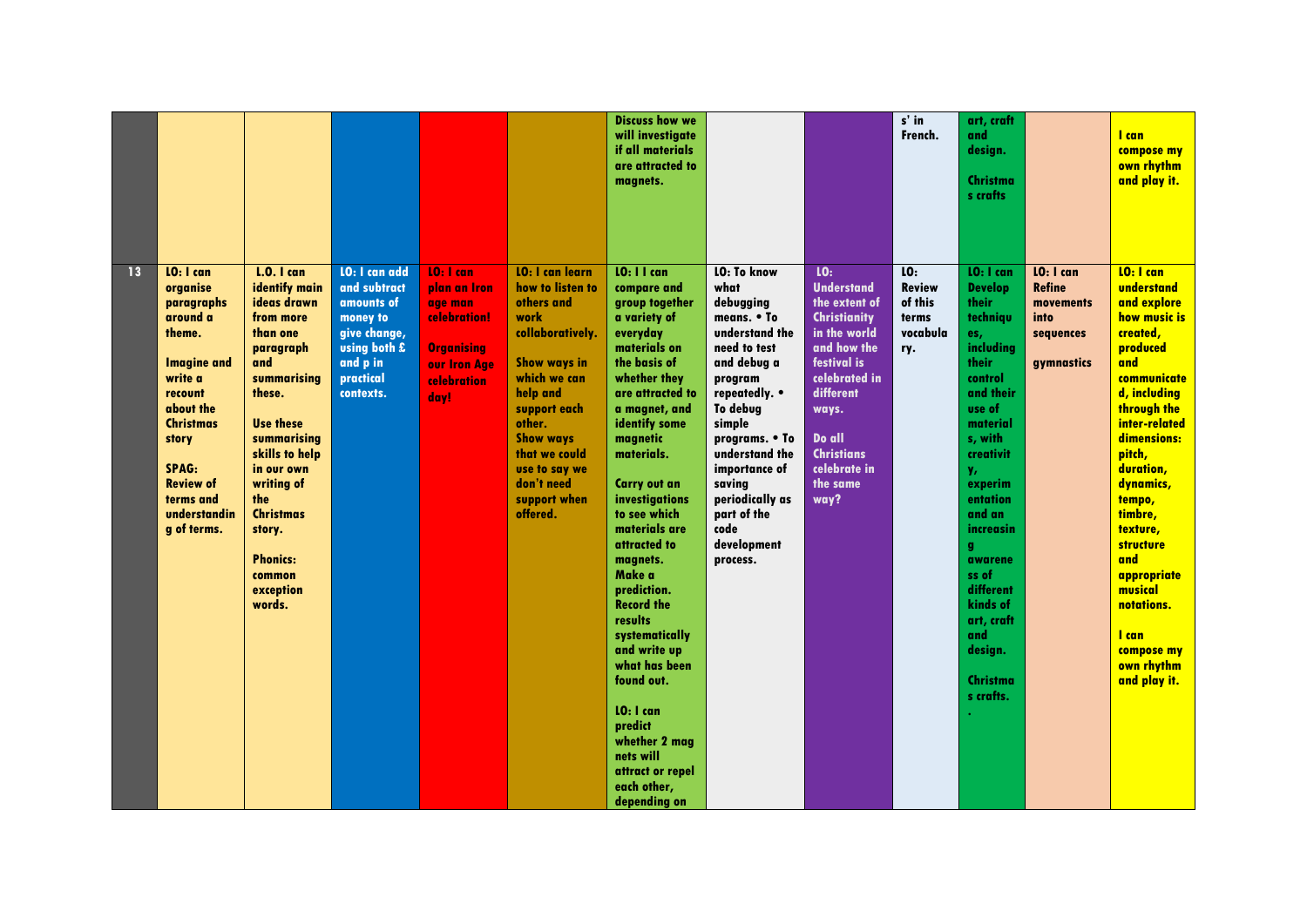|    |                                                                                                                                                                                                                                 |                                                                                                                                                                                                                                                                                                   |                                                                                                                                      |                                                                                                                   |                                                                                                                                                                                                                                                                   | <b>Discuss how we</b><br>will investigate<br>if all materials<br>are attracted to<br>magnets.                                                                                                                                                                                                                                                                                                                                                                                                                                                     |                                                                                                                                                                                                                                                                                               |                                                                                                                                                                                                                          | $s'$ in<br>French.                                          | art, craft<br>and<br>design.<br>Christma<br>s crafts                                                                                                                                                                                                                                                               |                                                                            | I can<br>compose my<br>own rhythm<br>and play it.                                                                                                                                                                                                                                                                                                                |
|----|---------------------------------------------------------------------------------------------------------------------------------------------------------------------------------------------------------------------------------|---------------------------------------------------------------------------------------------------------------------------------------------------------------------------------------------------------------------------------------------------------------------------------------------------|--------------------------------------------------------------------------------------------------------------------------------------|-------------------------------------------------------------------------------------------------------------------|-------------------------------------------------------------------------------------------------------------------------------------------------------------------------------------------------------------------------------------------------------------------|---------------------------------------------------------------------------------------------------------------------------------------------------------------------------------------------------------------------------------------------------------------------------------------------------------------------------------------------------------------------------------------------------------------------------------------------------------------------------------------------------------------------------------------------------|-----------------------------------------------------------------------------------------------------------------------------------------------------------------------------------------------------------------------------------------------------------------------------------------------|--------------------------------------------------------------------------------------------------------------------------------------------------------------------------------------------------------------------------|-------------------------------------------------------------|--------------------------------------------------------------------------------------------------------------------------------------------------------------------------------------------------------------------------------------------------------------------------------------------------------------------|----------------------------------------------------------------------------|------------------------------------------------------------------------------------------------------------------------------------------------------------------------------------------------------------------------------------------------------------------------------------------------------------------------------------------------------------------|
| 13 | LO: I can<br>organise<br>paragraphs<br>around a<br>theme.<br><b>Imagine and</b><br>write a<br>recount<br>about the<br><b>Christmas</b><br>story<br><b>SPAG:</b><br><b>Review of</b><br>terms and<br>understandin<br>q of terms. | <b>L.O.</b> I can<br>identify main<br>ideas drawn<br>from more<br>than one<br>paragraph<br>and<br>summarising<br>these.<br><b>Use these</b><br>summarising<br>skills to help<br>in our own<br>writing of<br>the<br><b>Christmas</b><br>story.<br><b>Phonics:</b><br>common<br>exception<br>words. | <b>LO: I can add</b><br>and subtract<br>amounts of<br>money to<br>give change,<br>using both £<br>and p in<br>practical<br>contexts. | $10:1$ can<br>plan an Iron<br>age man<br>celebration!<br><b>Organising</b><br>our Iron Age<br>celebration<br>day! | <b>LO: I can learn</b><br>how to listen to<br>others and<br>work<br>collaboratively.<br><b>Show ways in</b><br>which we can<br>help and<br>support each<br>other.<br><b>Show ways</b><br>that we could<br>use to say we<br>don't need<br>support when<br>offered. | LO: I I can<br>compare and<br>group together<br>a variety of<br>everyday<br>materials on<br>the basis of<br>whether they<br>are attracted to<br>a magnet, and<br>identify some<br>magnetic<br>materials.<br><b>Carry out an</b><br>investigations<br>to see which<br>materials are<br>attracted to<br>magnets.<br>Make a<br>prediction.<br><b>Record the</b><br>results<br>systematically<br>and write up<br>what has been<br>found out.<br>LO: I can<br>predict<br>whether 2 maa<br>nets will<br>attract or repel<br>each other,<br>depending on | <b>LO: To know</b><br>what<br>debugging<br>means. • To<br>understand the<br>need to test<br>and debug a<br>program<br>repeatedly. •<br>To debug<br>simple<br>programs. • To<br>understand the<br>importance of<br>saving<br>periodically as<br>part of the<br>code<br>development<br>process. | LO:<br><b>Understand</b><br>the extent of<br><b>Christianity</b><br>in the world<br>and how the<br>festival is<br>celebrated in<br>different<br>ways.<br>Do all<br><b>Christians</b><br>celebrate in<br>the same<br>way? | LO:<br><b>Review</b><br>of this<br>terms<br>vocabula<br>ry. | LO: I can<br><b>Develop</b><br>their<br>techniqu<br>es,<br>including<br>their<br>control<br>and their<br>use of<br>material<br>s, with<br>creativit<br>y,<br>experim<br>entation<br>and an<br>increasin<br>g<br>awarene<br>ss of<br>different<br>kinds of<br>art, craft<br>and<br>design.<br>Christma<br>s crafts. | LO: I can<br><b>Refine</b><br>movements<br>into<br>sequences<br>gymnastics | LO: I can<br>understand<br>and explore<br>how music is<br>created,<br>produced<br>and<br>communicate<br>d, including<br>through the<br>inter-related<br>dimensions:<br>pitch,<br>duration,<br>dynamics,<br>tempo,<br>timbre,<br>texture,<br><b>structure</b><br>and<br>appropriate<br>musical<br>notations.<br>I can<br>compose my<br>own rhythm<br>and play it. |